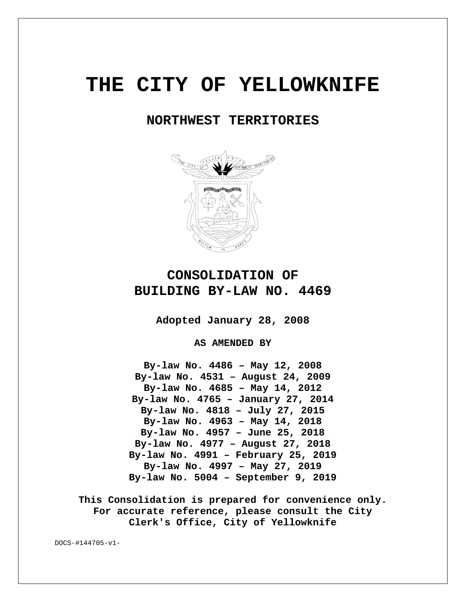# **THE CITY OF YELLOWKNIFE**

# **NORTHWEST TERRITORIES**



# **CONSOLIDATION OF BUILDING BY-LAW NO. 4469**

**Adopted January 28, 2008**

**AS AMENDED BY**

**By-law No. 4486 – May 12, 2008 By-law No. 4531 – August 24, 2009 By-law No. 4685 – May 14, 2012 By-law No. 4765 – January 27, 2014 By-law No. 4818 – July 27, 2015 By-law No. 4963 – May 14, 2018 By-law No. 4957 – June 25, 2018 By-law No. 4977 – August 27, 2018 By-law No. 4991 – February 25, 2019 By-law No. 4997 – May 27, 2019 By-law No. 5004 – September 9, 2019**

**This Consolidation is prepared for convenience only. For accurate reference, please consult the City Clerk's Office, City of Yellowknife**

DOCS-#144705-v1-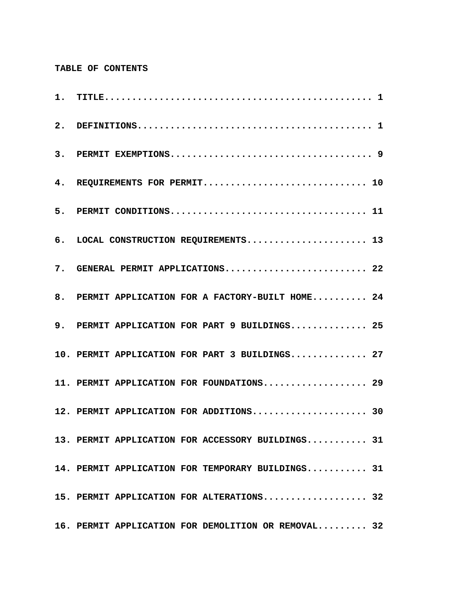# **TABLE OF CONTENTS**

| 4. REQUIREMENTS FOR PERMIT 10                       |  |
|-----------------------------------------------------|--|
|                                                     |  |
| 6. LOCAL CONSTRUCTION REQUIREMENTS 13               |  |
| 7. GENERAL PERMIT APPLICATIONS 22                   |  |
| 8. PERMIT APPLICATION FOR A FACTORY-BUILT HOME 24   |  |
| 9. PERMIT APPLICATION FOR PART 9 BUILDINGS 25       |  |
| 10. PERMIT APPLICATION FOR PART 3 BUILDINGS 27      |  |
| 11. PERMIT APPLICATION FOR FOUNDATIONS 29           |  |
| 12. PERMIT APPLICATION FOR ADDITIONS 30             |  |
| 13. PERMIT APPLICATION FOR ACCESSORY BUILDINGS 31   |  |
| 14. PERMIT APPLICATION FOR TEMPORARY BUILDINGS 31   |  |
| 15. PERMIT APPLICATION FOR ALTERATIONS 32           |  |
| 16. PERMIT APPLICATION FOR DEMOLITION OR REMOVAL 32 |  |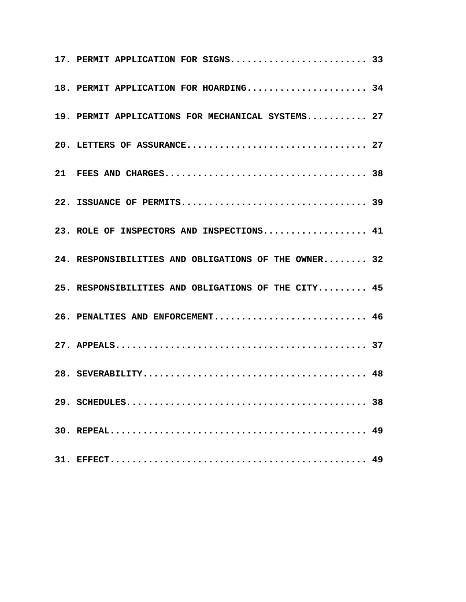| 17. PERMIT APPLICATION FOR SIGNS 33                  |  |
|------------------------------------------------------|--|
| 18. PERMIT APPLICATION FOR HOARDING 34               |  |
| 19. PERMIT APPLICATIONS FOR MECHANICAL SYSTEMS 27    |  |
| 20. LETTERS OF ASSURANCE 27                          |  |
|                                                      |  |
|                                                      |  |
| 23. ROLE OF INSPECTORS AND INSPECTIONS 41            |  |
| 24. RESPONSIBILITIES AND OBLIGATIONS OF THE OWNER 32 |  |
| 25. RESPONSIBILITIES AND OBLIGATIONS OF THE CITY 45  |  |
| 26. PENALTIES AND ENFORCEMENT 46                     |  |
|                                                      |  |
|                                                      |  |
|                                                      |  |
|                                                      |  |
|                                                      |  |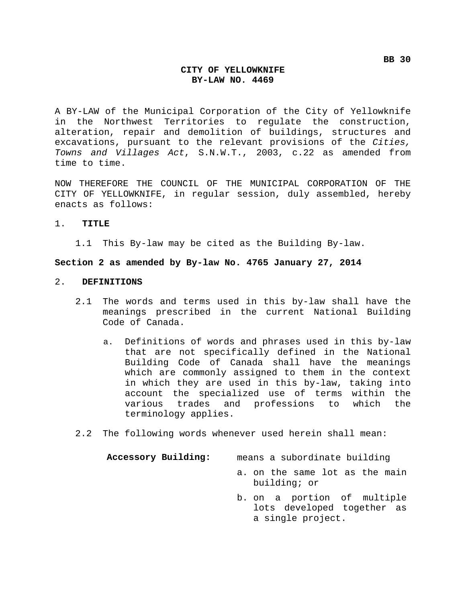# **CITY OF YELLOWKNIFE BY-LAW NO. 4469**

A BY-LAW of the Municipal Corporation of the City of Yellowknife in the Northwest Territories to regulate the construction, alteration, repair and demolition of buildings, structures and excavations, pursuant to the relevant provisions of the *Cities, Towns and Villages Act*, S.N.W.T., 2003, c.22 as amended from time to time.

NOW THEREFORE THE COUNCIL OF THE MUNICIPAL CORPORATION OF THE CITY OF YELLOWKNIFE, in regular session, duly assembled, hereby enacts as follows:

#### 1. **TITLE**

1.1 This By-law may be cited as the Building By-law.

#### **Section 2 as amended by By-law No. 4765 January 27, 2014**

#### 2. **DEFINITIONS**

- 2.1 The words and terms used in this by-law shall have the meanings prescribed in the current National Building Code of Canada.
	- a. Definitions of words and phrases used in this by-law that are not specifically defined in the National Building Code of Canada shall have the meanings which are commonly assigned to them in the context in which they are used in this by-law, taking into account the specialized use of terms within the various trades and professions to which the terminology applies.
- 2.2 The following words whenever used herein shall mean:

| Accessory Building:<br>means a subordinate building |  |
|-----------------------------------------------------|--|
|-----------------------------------------------------|--|

- a. on the same lot as the main building; or
- b. on a portion of multiple lots developed together as a single project.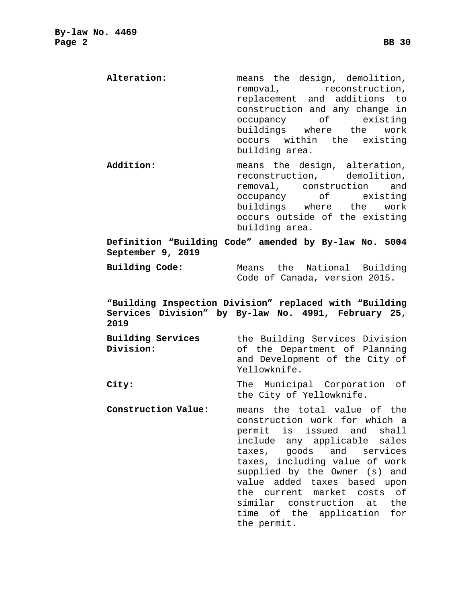**Alteration:** means the design, demolition, removal, reconstruction, replacement and additions to construction and any change in occupancy of existing buildings where the work occurs within the existing building area. **Addition:** means the design, alteration, reconstruction, demolition, removal, construction and<br>occupancy of existing of existing buildings where the work

occurs outside of the existing building area. **Definition "Building Code" amended by By-law No. 5004 September 9, 2019**

**Building Code:** Means the National Building Code of Canada, version 2015.

# **"Building Inspection Division" replaced with "Building Services Division" by By-law No. 4991, February 25, 2019**

| <b>Building Services</b> | the Building Services Division                 |
|--------------------------|------------------------------------------------|
| Division:                | of the Department of Planning                  |
|                          | and Development of the City of<br>Yellowknife. |

**City:** The Municipal Corporation of the City of Yellowknife.

**Construction Value**: means the total value of the construction work for which a permit is issued and shall include any applicable sales taxes, goods and services taxes, including value of work supplied by the Owner (s) and value added taxes based upon the current market costs of similar construction at the time of the application for the permit.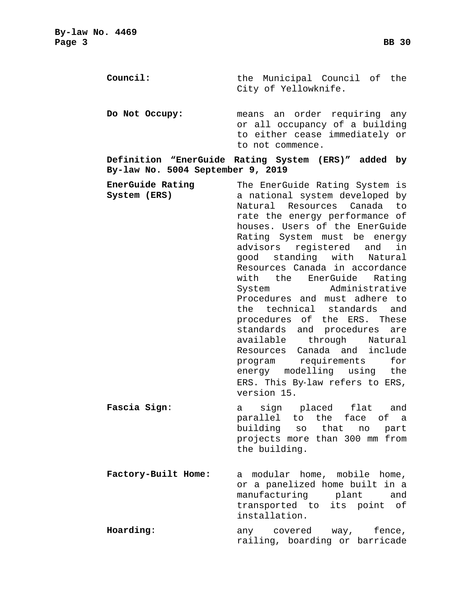| Council:                          | the Municipal Council of the<br>City of Yellowknife.                                                                                                                                                                                                                                                                                                                                                                                                                                                                                                                                                                                                                            |
|-----------------------------------|---------------------------------------------------------------------------------------------------------------------------------------------------------------------------------------------------------------------------------------------------------------------------------------------------------------------------------------------------------------------------------------------------------------------------------------------------------------------------------------------------------------------------------------------------------------------------------------------------------------------------------------------------------------------------------|
| Do Not Occupy:                    | means an order requiring any<br>or all occupancy of a building<br>to either cease immediately or<br>to not commence.                                                                                                                                                                                                                                                                                                                                                                                                                                                                                                                                                            |
| By-law No. 5004 September 9, 2019 | Definition "EnerGuide Rating System (ERS)" added by                                                                                                                                                                                                                                                                                                                                                                                                                                                                                                                                                                                                                             |
| EnerGuide Rating<br>System (ERS)  | The EnerGuide Rating System is<br>a national system developed by<br>Natural Resources Canada to<br>rate the energy performance of<br>houses. Users of the EnerGuide<br>Rating System must be energy<br>advisors registered and<br>in<br>good standing with Natural<br>Resources Canada in accordance<br>with the EnerGuide Rating<br>Administrative<br>System<br>Procedures and must adhere to<br>the technical standards and<br>procedures of the ERS. These<br>standards and procedures<br>are<br>available through Natural<br>Resources Canada and include<br>program requirements<br>for<br>energy modelling using<br>the<br>ERS. This By-law refers to ERS,<br>version 15. |
| Fascia Sign:                      | a sign placed flat and<br>parallel to the face of a<br>building so that no part<br>projects more than 300 mm from<br>the building.                                                                                                                                                                                                                                                                                                                                                                                                                                                                                                                                              |
| Factory-Built Home:               | a modular home, mobile home,<br>or a panelized home built in a<br>manufacturing plant and<br>transported to its point of<br>installation.                                                                                                                                                                                                                                                                                                                                                                                                                                                                                                                                       |

Hoarding: any covered way, fence, railing, boarding or barricade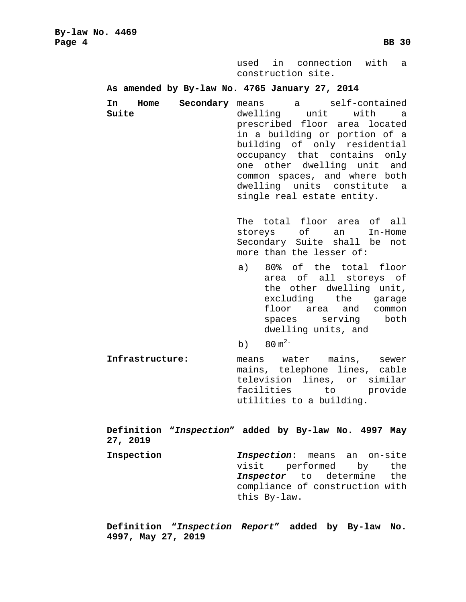used in connection with a construction site.

**As amended by By-law No. 4765 January 27, 2014**

**In Home Secondary**  means a self-contained **Suite** dwelling unit with a prescribed floor area located in a building or portion of a building of only residential occupancy that contains only one other dwelling unit and common spaces, and where both dwelling units constitute a single real estate entity.

> The total floor area of all storeys of an In-Home Secondary Suite shall be not more than the lesser of:

- a) 80% of the total floor area of all storeys of the other dwelling unit, excluding the garage floor area and common spaces serving both dwelling units, and
- b)  $80 \text{ m}^2$ .

**Infrastructure:** means water mains, sewer mains, telephone lines, cable television lines, or similar facilities to provide utilities to a building.

**Definition "***Inspection***" added by By-law No. 4997 May 27, 2019 Inspection** *Inspection*: means an on-site visit performed by the *Inspector* to determine the compliance of construction with this By-law.

**Definition "***Inspection Report***" added by By-law No. 4997, May 27, 2019**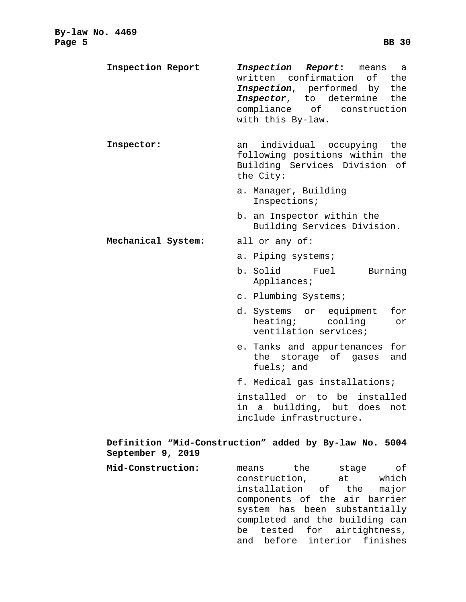| Inspection Report  | <i>Inspection Report:</i><br>means<br>а<br>written confirmation<br>of<br>the                                   |
|--------------------|----------------------------------------------------------------------------------------------------------------|
|                    | Inspection, performed by the                                                                                   |
|                    | Inspector, to determine the                                                                                    |
|                    | compliance of construction<br>with this By-law.                                                                |
|                    |                                                                                                                |
| Inspector:         | an individual occupying<br>the<br>following positions within the<br>Building Services Division of<br>the City: |
|                    | a. Manager, Building<br>Inspections;                                                                           |
|                    | b. an Inspector within the<br>Building Services Division.                                                      |
| Mechanical System: | all or any of:                                                                                                 |
|                    | a. Piping systems;                                                                                             |
|                    | b. Solid<br>Fuel<br>Burning<br>Appliances;                                                                     |
|                    | c. Plumbing Systems;                                                                                           |
|                    | d. Systems or equipment<br>for<br>heating; cooling<br>or<br>ventilation services;                              |
|                    | e. Tanks and appurtenances<br>for<br>the storage of gases<br>and<br>fuels; and                                 |
|                    | f. Medical gas installations;                                                                                  |
|                    | installed<br>to be installed<br>or<br>in a building, but does<br>not                                           |
|                    | include infrastructure.                                                                                        |
| September 9, 2019  | Definition "Mid-Construction" added by By-law No. 5004                                                         |
| Mid-Construction:  | the<br>οf<br>stage<br>means                                                                                    |
|                    | construction,<br>which<br>at                                                                                   |
|                    | installation of the<br>major<br>components of the air barrier                                                  |
|                    | system has been substantially                                                                                  |
|                    | completed and the building can                                                                                 |

be tested for airtightness, and before interior finishes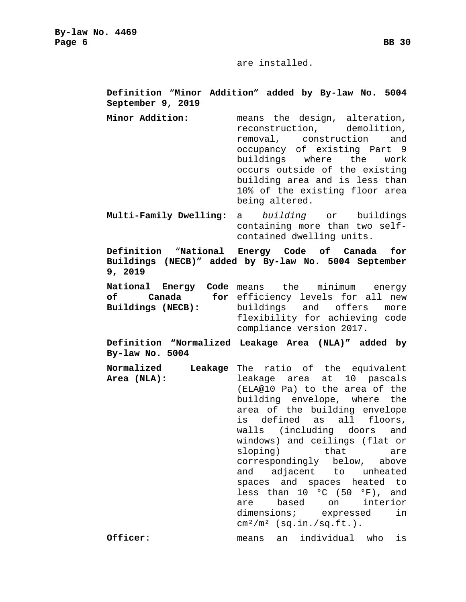are installed.

**Definition** "**Minor Addition" added by By-law No. 5004 September 9, 2019 Minor Addition:** means the design, alteration, reconstruction, demolition, removal, construction and occupancy of existing Part 9 buildings where the work occurs outside of the existing building area and is less than 10% of the existing floor area being altered. **Multi-Family Dwelling:** a *building* or buildings containing more than two selfcontained dwelling units. **Definition** "**National Energy Code of Canada for Buildings (NECB)" added by By-law No. 5004 September 9, 2019 National Energy Code**  means the minimum energy of Canada **Buildings (NECB):** for efficiency levels for all new buildings and offers more flexibility for achieving code compliance version 2017. **Definition "Normalized Leakage Area (NLA)" added by By-law No. 5004 Normalized Area (NLA):** Leakage The ratio of the equivalent leakage area at 10 pascals (ELA@10 Pa) to the area of the building envelope, where the area of the building envelope is defined as all floors, walls (including doors and windows) and ceilings (flat or sloping) that are correspondingly below, above and adjacent to unheated spaces and spaces heated to less than 10 °C (50 °F), and<br>are based on interior on interior<br>expressed in dimensions; expressed  $cm<sup>2</sup>/m<sup>2</sup>$  (sq.in./sq.ft.).

**Officer**: means an individual who is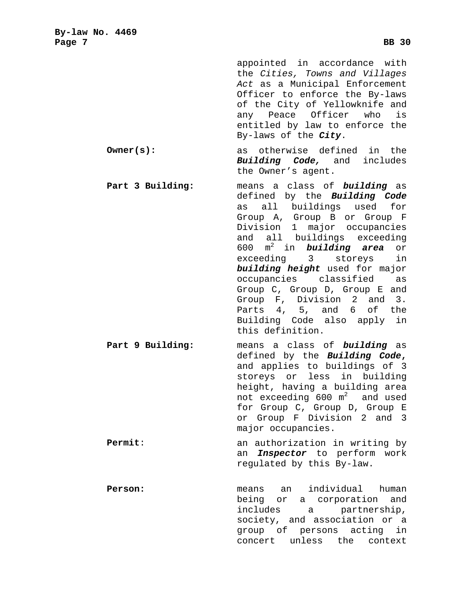appointed in accordance with the *Cities, Towns and Villages Act* as a Municipal Enforcement Officer to enforce the By-laws of the City of Yellowknife and<br>anv Peace Officer who is any Peace Officer who entitled by law to enforce the By-laws of the *City*.

**Owner(s):** as otherwise defined in the *Building Code,* and includes the Owner's agent.

**Part 3 Building:** means a class of *building* as defined by the *Building Code*  as all buildings used for Group A, Group B or Group F Division 1 major occupancies and all buildings exceeding 600 m2 in *building area* or exceeding 3 storeys in *building height* used for major occupancies classified as Group C, Group D, Group E and Group F, Division 2 and 3. Parts 4, 5, and 6 of the Building Code also apply in this definition.

**Part 9 Building:** means a class of *building* as defined by the *Building Code***,** and applies to buildings of 3 storeys or less in building height, having a building area not exceeding  $600 \text{ m}^2$  and used for Group C, Group D, Group E or Group F Division 2 and 3 major occupancies.

**Permit:** an authorization in writing by an *Inspector* to perform work regulated by this By-law.

**Person:** means an individual human being or a corporation and includes a partnership, society, and association or a group of persons acting in concert unless the context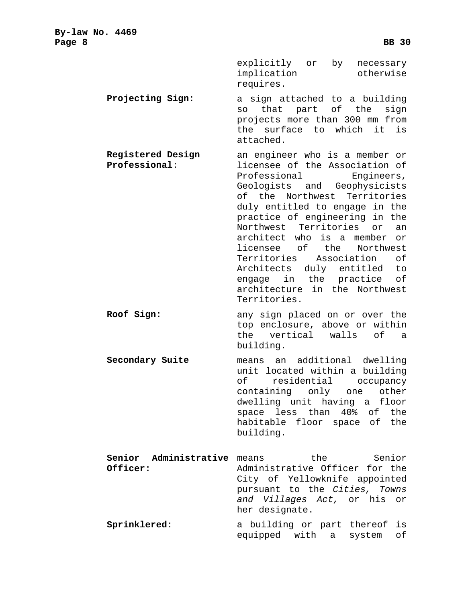explicitly or by necessary implication otherwise requires.

**Projecting Sign**: a sign attached to a building so that part of the sign projects more than 300 mm from the surface to which it is attached.

- **Registered Design Professional**: an engineer who is a member or licensee of the Association of<br>Professional Engineers, Professional Geologists and Geophysicists of the Northwest Territories duly entitled to engage in the practice of engineering in the Northwest Territories or an architect who is a member or licensee of the Northwest<br>Territories Association of Territories Association Architects duly entitled to engage in the practice of architecture in the Northwest Territories.
- **Roof Sign**: any sign placed on or over the top enclosure, above or within the vertical walls of a building.

**Secondary Suite** means an additional dwelling unit located within a building of residential occupancy containing only one other dwelling unit having a floor space less than 40% of the habitable floor space of the building.

**Senior Administrative Officer:** means the Senior Administrative Officer for the City of Yellowknife appointed pursuant to the *Cities, Towns and Villages Act,* or his or her designate. **Sprinklered**: a building or part thereof is

equipped with a system of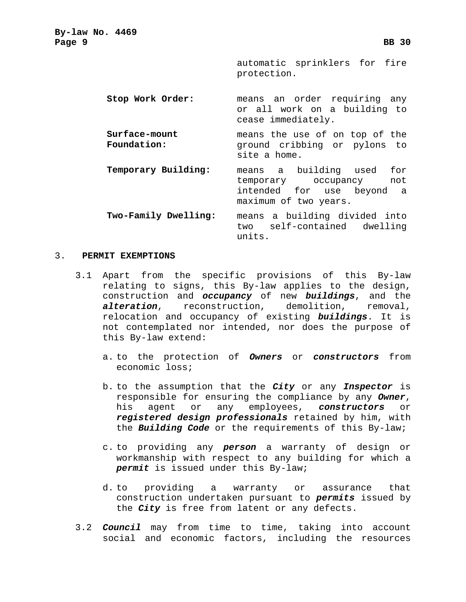automatic sprinklers for fire protection.

**Stop Work Order:** means an order requiring any or all work on a building to cease immediately.

**Surface-mount Foundation:** means the use of on top of the ground cribbing or pylons to site a home.

- **Temporary Building:** means a building used for temporary occupancy not intended for use beyond a maximum of two years.
- **Two-Family Dwelling:** means a building divided into two self-contained dwelling units.

# 3. **PERMIT EXEMPTIONS**

- 3.1 Apart from the specific provisions of this By-law relating to signs, this By-law applies to the design, construction and *occupancy* of new *buildings*, and the *alteration*, reconstruction, demolition, removal, relocation and occupancy of existing *buildings*. It is not contemplated nor intended, nor does the purpose of this By-law extend:
	- a. to the protection of *Owners* or *constructors* from economic loss;
	- b. to the assumption that the *City* or any *Inspector* is responsible for ensuring the compliance by any *Owner*, his agent or any employees, *constructors* or *registered design professionals* retained by him, with the *Building Code* or the requirements of this By-law;
	- c. to providing any *person* a warranty of design or workmanship with respect to any building for which a *permit* is issued under this By-law;
	- d. to providing a warranty or assurance that construction undertaken pursuant to *permits* issued by the *City* is free from latent or any defects.
- 3.2 *Council* may from time to time, taking into account social and economic factors, including the resources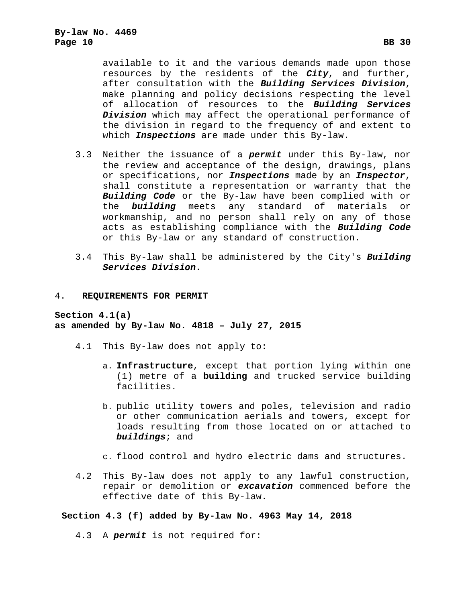available to it and the various demands made upon those resources by the residents of the *City*, and further, after consultation with the *Building Services Division*, make planning and policy decisions respecting the level of allocation of resources to the *Building Services Division* which may affect the operational performance of the division in regard to the frequency of and extent to which *Inspections* are made under this By-law.

- 3.3 Neither the issuance of a *permit* under this By-law, nor the review and acceptance of the design, drawings, plans or specifications, nor *Inspections* made by an *Inspector*, shall constitute a representation or warranty that the *Building Code* or the By-law have been complied with or the *building* meets any standard of materials or workmanship, and no person shall rely on any of those acts as establishing compliance with the *Building Code*  or this By-law or any standard of construction.
- 3.4 This By-law shall be administered by the City's *Building Services Division***.**

#### <span id="page-12-0"></span>4. **[REQUIREMENTS FOR PERMIT](#page-12-0)**

**Section 4.1(a) as amended by By-law No. 4818 – July 27, 2015**

- <span id="page-12-1"></span>4.1 This By-law does not apply to:
	- a. **Infrastructure**, except that portion lying within one (1) metre of a **building** and trucked service building facilities.
	- b. public utility towers and poles, television and radio or other communication aerials and towers, except for loads resulting from those located on or attached to *buildings*; and
	- c. flood control and hydro electric dams and structures.
- <span id="page-12-2"></span>4.2 This By-law does not apply to any lawful construction, repair or demolition or *excavation* commenced before the effective date of this By-law.

#### <span id="page-12-3"></span>**Section 4.3 (f) added by By-law No. 4963 May 14, 2018**

4.3 A *permit* is not required for: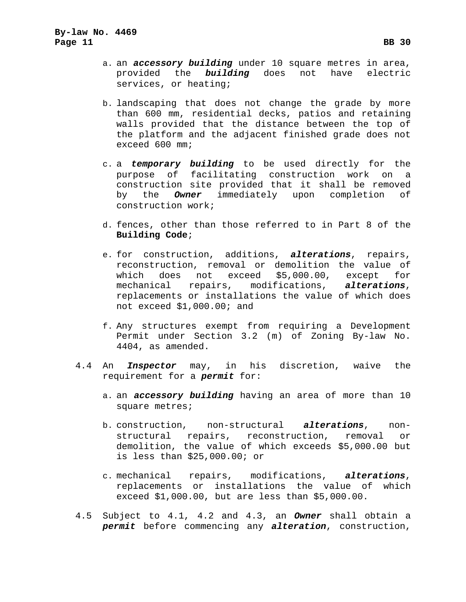- a. an *accessory building* under 10 square metres in area, provided the *building* does not have electric services, or heating;
- b. landscaping that does not change the grade by more than 600 mm, residential decks, patios and retaining walls provided that the distance between the top of the platform and the adjacent finished grade does not exceed 600 mm;
- c. a *temporary building* to be used directly for the purpose of facilitating construction work on a construction site provided that it shall be removed by the *Owner* immediately upon completion of construction work;
- d. fences, other than those referred to in Part 8 of the **Building Code**;
- e. for construction, additions, *alterations*, repairs, reconstruction, removal or demolition the value of which does not exceed \$5,000.00, except for mechanical repairs, modifications, *alterations*, replacements or installations the value of which does not exceed \$1,000.00; and
- f. Any structures exempt from requiring a Development Permit under Section 3.2 (m) of Zoning By-law No. 4404, as amended.
- 4.4 An *Inspector* may, in his discretion, waive the requirement for a *permit* for:
	- a. an *accessory building* having an area of more than 10 square metres;
	- b. construction, non-structural *alterations*, nonstructural repairs, reconstruction, removal or demolition, the value of which exceeds \$5,000.00 but is less than \$25,000.00; or
	- c. mechanical repairs, modifications, *alterations*, replacements or installations the value of which exceed \$1,000.00, but are less than \$5,000.00.
- 4.5 Subject to [4.1,](#page-12-1) [4.2](#page-12-2) and [4.3,](#page-12-3) an *Owner* shall obtain a *permit* before commencing any *alteration*, construction,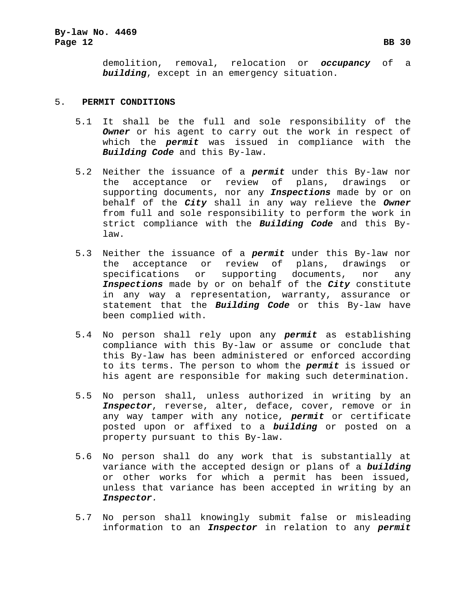demolition, removal, relocation or *occupancy* of a *building*, except in an emergency situation.

### <span id="page-14-0"></span>5. **PERMIT CONDITIONS**

- 5.1 It shall be the full and sole responsibility of the *Owner* or his agent to carry out the work in respect of which the *permit* was issued in compliance with the *Building Code* and this By-law.
- 5.2 Neither the issuance of a *permit* under this By-law nor the acceptance or review of plans, drawings or supporting documents, nor any *Inspections* made by or on behalf of the *City* shall in any way relieve the *Owner* from full and sole responsibility to perform the work in strict compliance with the *Building Code* and this Bylaw.
- 5.3 Neither the issuance of a *permit* under this By-law nor the acceptance or review of plans, drawings or specifications or supporting documents, nor any *Inspections* made by or on behalf of the *City* constitute in any way a representation, warranty, assurance or statement that the *Building Code* or this By-law have been complied with.
- 5.4 No person shall rely upon any *permit* as establishing compliance with this By-law or assume or conclude that this By-law has been administered or enforced according to its terms. The person to whom the *permit* is issued or his agent are responsible for making such determination.
- 5.5 No person shall, unless authorized in writing by an *Inspector*, reverse, alter, deface, cover, remove or in any way tamper with any notice, *permit* or certificate posted upon or affixed to a *building* or posted on a property pursuant to this By-law.
- 5.6 No person shall do any work that is substantially at variance with the accepted design or plans of a *building* or other works for which a permit has been issued, unless that variance has been accepted in writing by an *Inspector.*
- 5.7 No person shall knowingly submit false or misleading information to an *Inspector* in relation to any *permit*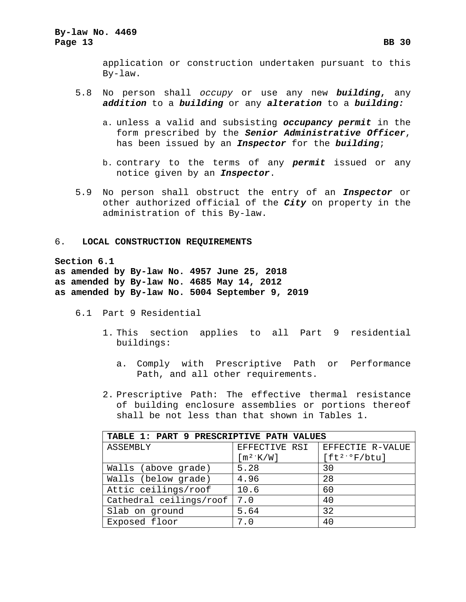# **By-law No. 4469 Page 13 BB 30**

- 5.8 No person shall *occupy* or use any new *building***,** any *addition* to a *building* or any *alteration* to a *building:*
	- a. unless a valid and subsisting *occupancy permit* in the form prescribed by the *Senior Administrative Officer*, has been issued by an *Inspector* for the *building*;
	- b. contrary to the terms of any *permit* issued or any notice given by an *Inspector*.
- 5.9 No person shall obstruct the entry of an *Inspector* or other authorized official of the *City* on property in the administration of this By-law.

# 6. **LOCAL CONSTRUCTION REQUIREMENTS**

**Section 6.1 as amended by By-law No. 4957 June 25, 2018 as amended by By-law No. 4685 May 14, 2012 as amended by By-law No. 5004 September 9, 2019**

- 6.1 Part 9 Residential
	- 1. This section applies to all Part 9 residential buildings:
		- a. Comply with Prescriptive Path or Performance Path, and all other requirements.
	- 2. Prescriptive Path: The effective thermal resistance of building enclosure assemblies or portions thereof shall be not less than that shown in Tables 1.

| TABLE 1: PART 9 PRESCRIPTIVE PATH VALUES |               |                   |  |
|------------------------------------------|---------------|-------------------|--|
| ASSEMBLY                                 | EFFECTIVE RSI | EFFECTIE R-VALUE  |  |
|                                          | $[m^2$ $K/W]$ | $[ft^{2.0}F/btu]$ |  |
| Walls (above grade)                      | 5.28          | 30                |  |
| Walls (below grade)                      | 4.96          | 28                |  |
| Attic ceilings/roof                      | 10.6          | 60                |  |
| Cathedral ceilings/roof                  | 7.0           | 40                |  |
| Slab on ground                           | 5.64          | 32                |  |
| Exposed floor                            | 7.0           | 40                |  |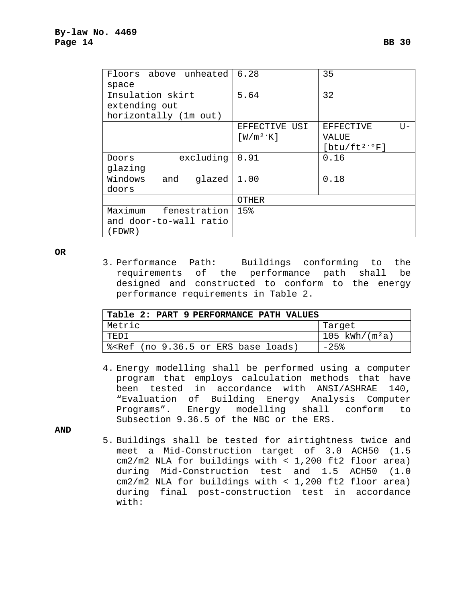| Floors above unheated    | 6.28           | 35                 |
|--------------------------|----------------|--------------------|
| space                    |                |                    |
| Insulation skirt         | 5.64           | 32                 |
| extending out            |                |                    |
| horizontally (1m out)    |                |                    |
|                          | EFFECTIVE USI  | EFFECTIVE<br>$U -$ |
|                          | $[W/m^2$ · K ] | VALUE              |
|                          |                | $[btu/ft^2.9F]$    |
| excluding<br>Doors       | 0.91           | 0.16               |
| glazing                  |                |                    |
| Windows<br>and<br>qlazed | 1.00           | 0.18               |
| doors                    |                |                    |
|                          | <b>OTHER</b>   |                    |
| Maximum<br>fenestration  | 15%            |                    |
| and door-to-wall ratio   |                |                    |
| FDWR)                    |                |                    |

#### **OR**

3. Performance Path: Buildings conforming to the requirements of the performance path shall be designed and constructed to conform to the energy performance requirements in Table 2.

| Table 2: PART 9 PERFORMANCE PATH VALUES                                                        |                              |
|------------------------------------------------------------------------------------------------|------------------------------|
| Metric                                                                                         | Target                       |
| TEDI                                                                                           | $105$ kWh/(m <sup>2</sup> a) |
| % <ref (no="" 9.36.5="" base="" ers="" loads)<="" or="" td=""><td><math>-25%</math></td></ref> | $-25%$                       |

4. Energy modelling shall be performed using a computer program that employs calculation methods that have been tested in accordance with ANSI/ASHRAE 140, "Evaluation of Building Energy Analysis Computer Programs". Energy modelling shall conform to Subsection 9.36.5 of the NBC or the ERS.

**AND**

5. Buildings shall be tested for airtightness twice and meet a Mid-Construction target of 3.0 ACH50 (1.5 cm2/m2 NLA for buildings with < 1,200 ft2 floor area) during Mid-Construction test and 1.5 ACH50 (1.0 cm2/m2 NLA for buildings with < 1,200 ft2 floor area) during final post-construction test in accordance with: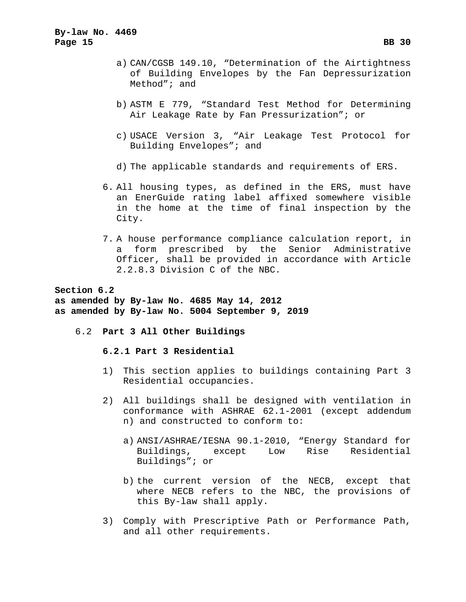- b) ASTM E 779, "Standard Test Method for Determining Air Leakage Rate by Fan Pressurization"; or
- c) USACE Version 3, "Air Leakage Test Protocol for Building Envelopes"; and
- d) The applicable standards and requirements of ERS.
- 6. All housing types, as defined in the ERS, must have an EnerGuide rating label affixed somewhere visible in the home at the time of final inspection by the City.
- 7. A house performance compliance calculation report, in form prescribed by the Senior Administrative Officer, shall be provided in accordance with Article 2.2.8.3 Division C of the NBC.

**Section 6.2 as amended by By-law No. 4685 May 14, 2012 as amended by By-law No. 5004 September 9, 2019**

6.2 **Part 3 All Other Buildings**

**6.2.1 Part 3 Residential**

- 1) This section applies to buildings containing Part 3 Residential occupancies.
- 2) All buildings shall be designed with ventilation in conformance with ASHRAE 62.1-2001 (except addendum n) and constructed to conform to:
	- a) ANSI/ASHRAE/IESNA 90.1-2010, "Energy Standard for<br>Buildings, except Low Rise Residential Rise Residential Buildings"; or
	- b) the current version of the NECB, except that where NECB refers to the NBC, the provisions of this By-law shall apply.
- 3) Comply with Prescriptive Path or Performance Path, and all other requirements.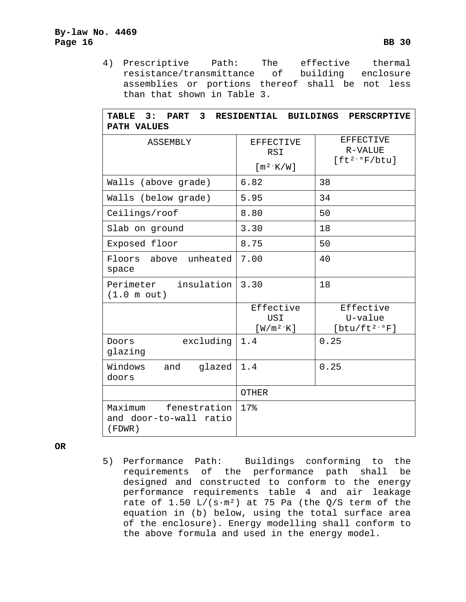# **By-law No. 4469 Page 16 BB 30**

4) Prescriptive Path: The effective thermal<br>resistance/transmittance of building enclosure resistance/transmittance of building enclosure assemblies or portions thereof shall be not less than that shown in Table 3.

| <b>TABLE</b><br>3:<br>PART 3<br>RESIDENTIAL BUILDINGS PERSCRPTIVE<br>PATH VALUES |                                         |                                                  |  |
|----------------------------------------------------------------------------------|-----------------------------------------|--------------------------------------------------|--|
| ASSEMBLY                                                                         | EFFECTIVE<br><b>RSI</b><br>$[m^2$ 'K/W] | <b>EFFECTIVE</b><br>R-VALUE<br>$[ft^{2.0}F/btu]$ |  |
| Walls (above grade)                                                              | 6.82                                    | 38                                               |  |
| Walls (below grade)                                                              | 5.95                                    | 34                                               |  |
| Ceilings/roof                                                                    | 8.80                                    | 50                                               |  |
| Slab on ground                                                                   | 3.30                                    | 18                                               |  |
| Exposed floor                                                                    | 8.75                                    | 50                                               |  |
| above<br>unheated<br>Floors<br>space                                             | 7.00                                    | 40                                               |  |
| Perimeter<br>insulation<br>(1.0 m out)                                           | 3.30                                    | 18                                               |  |
|                                                                                  | Effective<br>USI<br>$[W/m^2$ · K ]      | Effective<br>U-value<br>$[btu/ft^2.9F]$          |  |
| excluding<br>Doors<br>glazing                                                    | 1.4                                     | 0.25                                             |  |
| Windows<br>glazed<br>and<br>doors                                                | 1.4                                     | 0.25                                             |  |
|                                                                                  | <b>OTHER</b>                            |                                                  |  |
| Maximum<br>fenestration<br>and door-to-wall ratio<br>(FDWR)                      | 17%                                     |                                                  |  |

**OR**

5) Performance Path: Buildings conforming to the requirements of the performance path shall be designed and constructed to conform to the energy performance requirements table 4 and air leakage rate of 1.50  $L/(s \cdot m^2)$  at 75 Pa (the Q/S term of the equation in (b) below, using the total surface area of the enclosure). Energy modelling shall conform to the above formula and used in the energy model.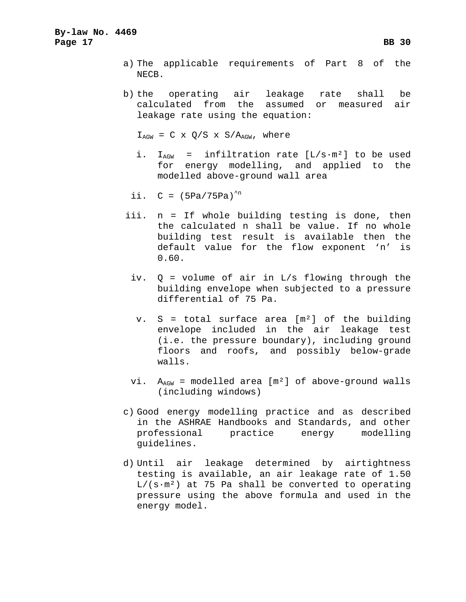- a) The applicable requirements of Part 8 of the NECB.
- b) the operating air leakage rate shall be calculated from the assumed or measured air leakage rate using the equation:

 $I_{AGW}$  = C x Q/S x S/A<sub>AGW</sub>, where

- i.  $I_{AGW}$  = infiltration rate [L/s·m<sup>2</sup>] to be used for energy modelling, and applied to the modelled above-ground wall area
- ii.  $C = (5Pa/75Pa)^{n}$
- iii. n = If whole building testing is done, then the calculated n shall be value. If no whole building test result is available then the default value for the flow exponent 'n' is 0.60.
	- iv. Q = volume of air in L/s flowing through the building envelope when subjected to a pressure differential of 75 Pa.
		- v. S = total surface area [m²] of the building envelope included in the air leakage test (i.e. the pressure boundary), including ground floors and roofs, and possibly below-grade walls.
	- vi.  $A_{AGW}$  = modelled area [m<sup>2</sup>] of above-ground walls (including windows)
- c) Good energy modelling practice and as described in the ASHRAE Handbooks and Standards, and other professional practice energy modelling guidelines.
- d) Until air leakage determined by airtightness testing is available, an air leakage rate of 1.50  $L/(s \cdot m^2)$  at 75 Pa shall be converted to operating pressure using the above formula and used in the energy model.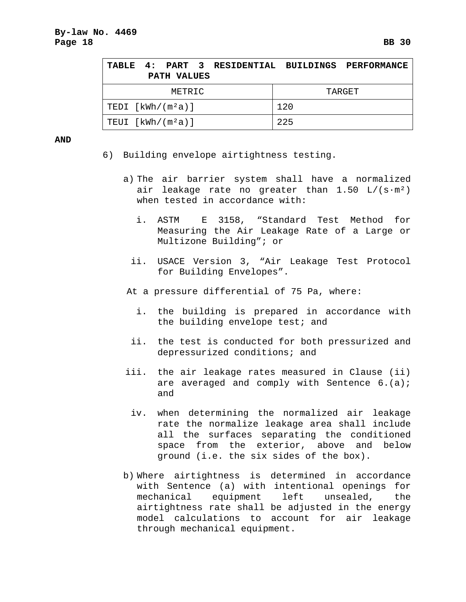| TABLE 4: PART 3 RESIDENTIAL BUILDINGS PERFORMANCE<br>PATH VALUES |        |
|------------------------------------------------------------------|--------|
| METRIC                                                           | TARGET |
| TEDI $[kWh/(m^2a)]$                                              | 120    |
| TEUI $[kWh/(m^2a)]$                                              | 225    |

#### **AND**

- 6) Building envelope airtightness testing.
	- a) The air barrier system shall have a normalized air leakage rate no greater than  $1.50 L/(s \cdot m^2)$ when tested in accordance with:
		- i. ASTM E 3158, "Standard Test Method for Measuring the Air Leakage Rate of a Large or Multizone Building"; or
		- ii. USACE Version 3, "Air Leakage Test Protocol for Building Envelopes".
	- At a pressure differential of 75 Pa, where:
		- i. the building is prepared in accordance with the building envelope test; and
	- ii. the test is conducted for both pressurized and depressurized conditions; and
	- iii. the air leakage rates measured in Clause (ii) are averaged and comply with Sentence 6.(a); and
		- iv. when determining the normalized air leakage rate the normalize leakage area shall include all the surfaces separating the conditioned space from the exterior, above and below ground (i.e. the six sides of the box).
	- b) Where airtightness is determined in accordance with Sentence (a) with intentional openings for mechanical equipment left unsealed, the airtightness rate shall be adjusted in the energy model calculations to account for air leakage through mechanical equipment.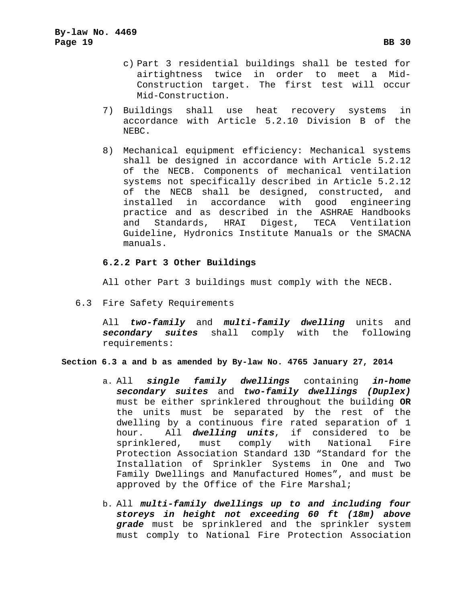- c) Part 3 residential buildings shall be tested for airtightness twice in order to meet a Mid-Construction target. The first test will occur Mid-Construction.
- 7) Buildings shall use heat recovery systems in accordance with Article 5.2.10 Division B of the NEBC.
- 8) Mechanical equipment efficiency: Mechanical systems shall be designed in accordance with Article 5.2.12 of the NECB. Components of mechanical ventilation systems not specifically described in Article 5.2.12 of the NECB shall be designed, constructed, and installed in accordance with good engineering practice and as described in the ASHRAE Handbooks and Standards, HRAI Digest, TECA Ventilation Guideline, Hydronics Institute Manuals or the SMACNA manuals.

### **6.2.2 Part 3 Other Buildings**

All other Part 3 buildings must comply with the NECB.

6.3 Fire Safety Requirements

All *two-family* and *multi-family dwelling* units and *secondary suites* shall comply with the following requirements:

**Section 6.3 a and b as amended by By-law No. 4765 January 27, 2014**

- a. All *single family dwellings* containing *in-home secondary suites* and *two-family dwellings (Duplex)*  must be either sprinklered throughout the building **OR** the units must be separated by the rest of the dwelling by a continuous fire rated separation of 1 hour. All *dwelling units*, if considered to be sprinklered, must comply with National Fire Protection Association Standard 13D "Standard for the Installation of Sprinkler Systems in One and Two Family Dwellings and Manufactured Homes", and must be approved by the Office of the Fire Marshal;
- b. All *multi-family dwellings up to and including four storeys in height not exceeding 60 ft (18m) above grade* must be sprinklered and the sprinkler system must comply to National Fire Protection Association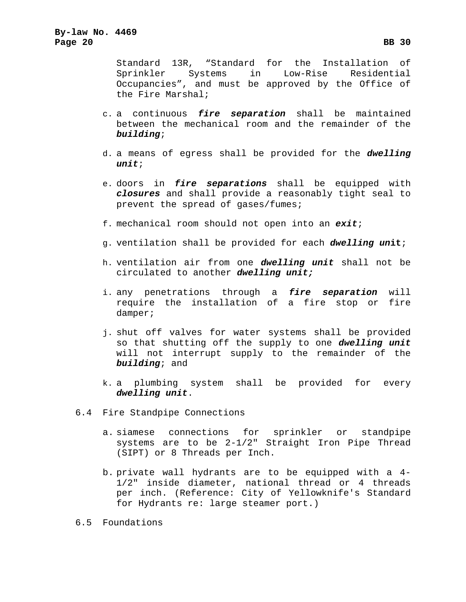Standard 13R, "Standard for the Installation of Sprinkler Systems in Low-Rise Residential Occupancies", and must be approved by the Office of the Fire Marshal;

- c. a continuous *fire separation* shall be maintained between the mechanical room and the remainder of the *building*;
- d. a means of egress shall be provided for the *dwelling unit*;
- e. doors in *fire separations* shall be equipped with *closures* and shall provide a reasonably tight seal to prevent the spread of gases/fumes;
- f. mechanical room should not open into an *exit*;
- g. ventilation shall be provided for each *dwelling un***it**;
- h. ventilation air from one *dwelling unit* shall not be circulated to another *dwelling unit;*
- i. any penetrations through a *fire separation* will require the installation of a fire stop or fire damper;
- j. shut off valves for water systems shall be provided so that shutting off the supply to one *dwelling unit* will not interrupt supply to the remainder of the *building*; and
- k. a plumbing system shall be provided for every *dwelling unit*.
- 6.4 Fire Standpipe Connections
	- a. siamese connections for sprinkler or standpipe systems are to be 2-1/2" Straight Iron Pipe Thread (SIPT) or 8 Threads per Inch.
	- b. private wall hydrants are to be equipped with a 4- 1/2" inside diameter, national thread or 4 threads per inch. (Reference: City of Yellowknife's Standard for Hydrants re: large steamer port.)

6.5 Foundations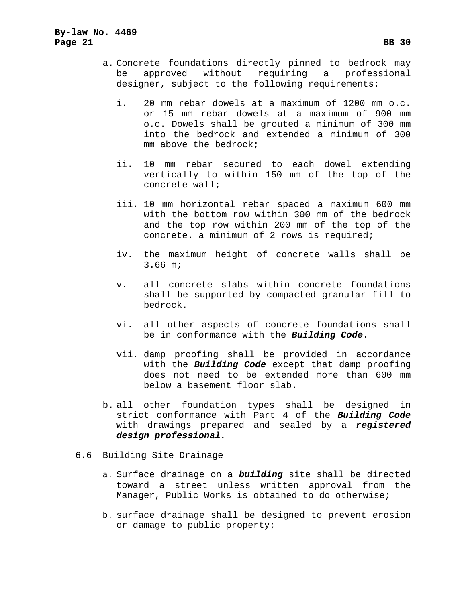- i. 20 mm rebar dowels at a maximum of 1200 mm o.c. or 15 mm rebar dowels at a maximum of 900 mm o.c. Dowels shall be grouted a minimum of 300 mm into the bedrock and extended a minimum of 300 mm above the bedrock;
- ii. 10 mm rebar secured to each dowel extending vertically to within 150 mm of the top of the concrete wall;
- iii. 10 mm horizontal rebar spaced a maximum 600 mm with the bottom row within 300 mm of the bedrock and the top row within 200 mm of the top of the concrete. a minimum of 2 rows is required;
- iv. the maximum height of concrete walls shall be 3.66 m;
- v. all concrete slabs within concrete foundations shall be supported by compacted granular fill to bedrock.
- vi. all other aspects of concrete foundations shall be in conformance with the *Building Code*.
- vii. damp proofing shall be provided in accordance with the *Building Code* except that damp proofing does not need to be extended more than 600 mm below a basement floor slab.
- b. all other foundation types shall be designed in strict conformance with Part 4 of the *Building Code*  with drawings prepared and sealed by a *registered design professional.*
- 6.6 Building Site Drainage
	- a. Surface drainage on a *building* site shall be directed toward a street unless written approval from the Manager, Public Works is obtained to do otherwise;
	- b. surface drainage shall be designed to prevent erosion or damage to public property;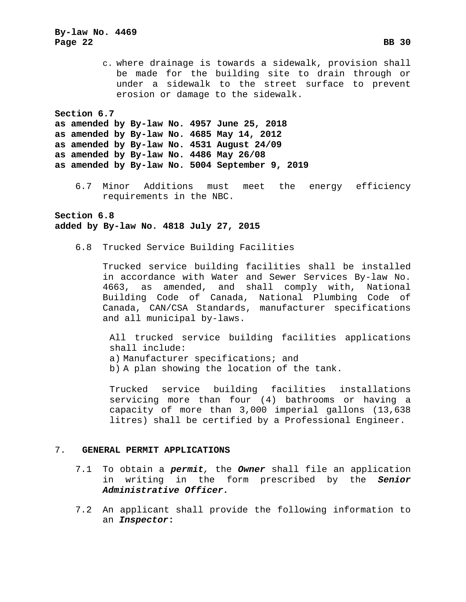```
By-law No. 4469
Page 22 BB 30
        c. where drainage is towards a sidewalk, provision shall 
          be made for the building site to drain through or 
          under a sidewalk to the street surface to prevent 
          erosion or damage to the sidewalk.
Section 6.7
as amended by By-law No. 4957 June 25, 2018
as amended by By-law No. 4685 May 14, 2012
as amended by By-law No. 4531 August 24/09
as amended by By-law No. 4486 May 26/08
as amended by By-law No. 5004 September 9, 2019
   6.7 Minor Additions must meet the energy efficiency 
        requirements in the NBC.
Section 6.8
added by By-law No. 4818 July 27, 2015
```
6.8 Trucked Service Building Facilities

Trucked service building facilities shall be installed in accordance with Water and Sewer Services By-law No. 4663, as amended, and shall comply with, National Building Code of Canada, National Plumbing Code of Canada, CAN/CSA Standards, manufacturer specifications and all municipal by-laws.

All trucked service building facilities applications shall include: a) Manufacturer specifications; and b) A plan showing the location of the tank.

Trucked service building facilities installations servicing more than four (4) bathrooms or having a capacity of more than 3,000 imperial gallons (13,638 litres) shall be certified by a Professional Engineer.

### 7. **GENERAL PERMIT APPLICATIONS**

- 7.1 To obtain a *permit,* the *Owner* shall file an application in writing in the form prescribed by the *Senior Administrative Officer.*
- <span id="page-24-0"></span>7.2 An applicant shall provide the following information to an *Inspector***:**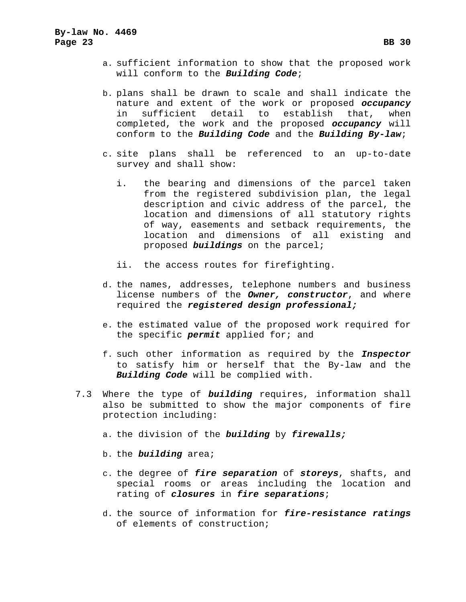- a. sufficient information to show that the proposed work will conform to the *Building Code*;
- b. plans shall be drawn to scale and shall indicate the nature and extent of the work or proposed *occupancy* in sufficient detail to establish that, when completed, the work and the proposed *occupancy* will conform to the *Building Code* and the *Building By-law*;
- c. site plans shall be referenced to an up-to-date survey and shall show:
	- i. the bearing and dimensions of the parcel taken from the registered subdivision plan, the legal description and civic address of the parcel, the location and dimensions of all statutory rights of way, easements and setback requirements, the location and dimensions of all existing and proposed *buildings* on the parcel;
	- ii. the access routes for firefighting.
- d. the names, addresses, telephone numbers and business license numbers of the *Owner, constructor*, and where required the *registered design professional;*
- e. the estimated value of the proposed work required for the specific *permit* applied for; and
- f. such other information as required by the *Inspector*  to satisfy him or herself that the By-law and the *Building Code* will be complied with.
- 7.3 Where the type of *building* requires, information shall also be submitted to show the major components of fire protection including:
	- a. the division of the *building* by *firewalls;*
	- b. the *building* area;
	- c. the degree of *fire separation* of *storeys*, shafts, and special rooms or areas including the location and rating of *closures* in *fire separations*;
	- d. the source of information for *fire-resistance ratings* of elements of construction;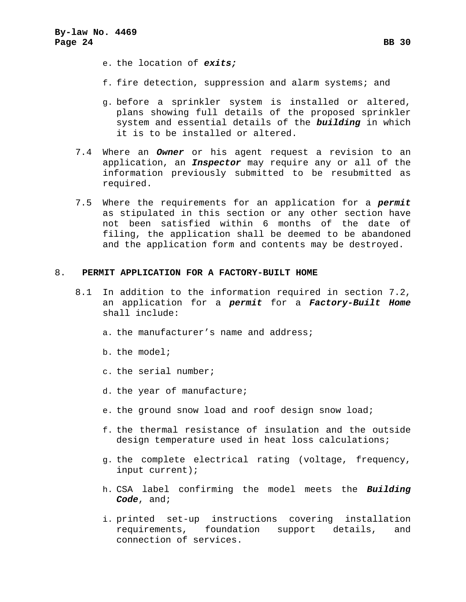- e. the location of *exits;*
- f. fire detection, suppression and alarm systems; and
- g. before a sprinkler system is installed or altered, plans showing full details of the proposed sprinkler system and essential details of the *building* in which it is to be installed or altered.
- 7.4 Where an *Owner* or his agent request a revision to an application, an *Inspector* may require any or all of the information previously submitted to be resubmitted as required.
- 7.5 Where the requirements for an application for a *permit* as stipulated in this section or any other section have not been satisfied within 6 months of the date of filing, the application shall be deemed to be abandoned and the application form and contents may be destroyed.

#### 8. **PERMIT APPLICATION FOR A FACTORY-BUILT HOME**

- 8.1 In addition to the information required in section [7.2,](#page-24-0) an application for a *permit* for a *Factory-Built Home* shall include:
	- a. the manufacturer's name and address;
	- b. the model;
	- c. the serial number;
	- d. the year of manufacture;
	- e. the ground snow load and roof design snow load;
	- f. the thermal resistance of insulation and the outside design temperature used in heat loss calculations;
	- g. the complete electrical rating (voltage, frequency, input current);
	- h. CSA label confirming the model meets the *Building Code*, and;
	- i. printed set-up instructions covering installation requirements, foundation support details, and connection of services.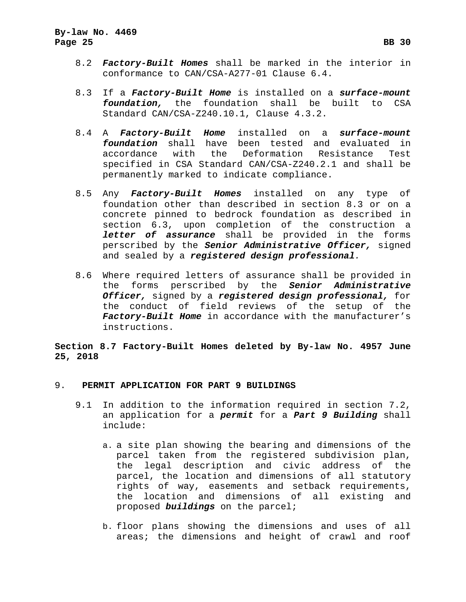- 8.2 *Factory-Built Homes* shall be marked in the interior in conformance to CAN/CSA-A277-01 Clause 6.4.
- 8.3 If a *Factory-Built Home* is installed on a *surface-mount foundation,* the foundation shall be built to CSA Standard CAN/CSA-Z240.10.1, Clause 4.3.2.
- 8.4 A *Factory-Built Home* installed on a *surface-mount foundation* shall have been tested and evaluated in accordance with the Deformation Resistance Test specified in CSA Standard CAN/CSA-Z240.2.1 and shall be permanently marked to indicate compliance.
- 8.5 Any *Factory-Built Homes* installed on any type of foundation other than described in section 8.3 or on a concrete pinned to bedrock foundation as described in section 6.3, upon completion of the construction a *letter of assurance* shall be provided in the forms perscribed by the *Senior Administrative Officer,* signed and sealed by a *registered design professional.*
- 8.6 Where required letters of assurance shall be provided in the forms perscribed by the *Senior Administrative Officer,* signed by a *registered design professional,* for the conduct of field reviews of the setup of the *Factory-Built Home* in accordance with the manufacturer's instructions.

**Section 8.7 Factory-Built Homes deleted by By-law No. 4957 June 25, 2018**

#### 9. **PERMIT APPLICATION FOR PART 9 BUILDINGS**

- 9.1 In addition to the information required in section [7.2,](#page-24-0) an application for a *permit* for a *Part 9 Building* shall include:
	- a. a site plan showing the bearing and dimensions of the parcel taken from the registered subdivision plan, the legal description and civic address of the parcel, the location and dimensions of all statutory rights of way, easements and setback requirements, the location and dimensions of all existing and proposed *buildings* on the parcel;
	- b. floor plans showing the dimensions and uses of all areas; the dimensions and height of crawl and roof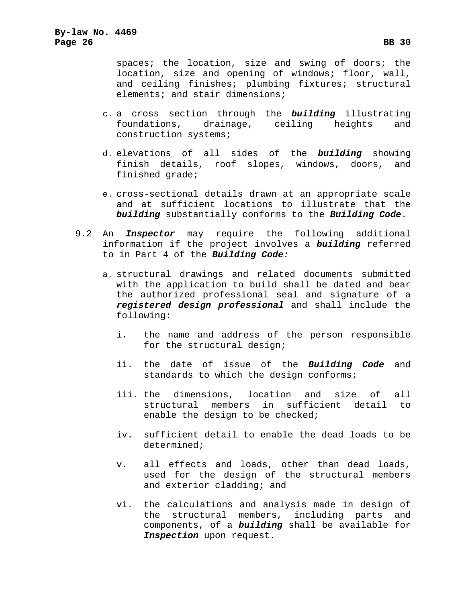- c. a cross section through the *building* illustrating foundations, drainage, ceiling heights and construction systems;
- d. elevations of all sides of the *building* showing finish details, roof slopes, windows, doors, and finished grade;
- e. cross-sectional details drawn at an appropriate scale and at sufficient locations to illustrate that the *building* substantially conforms to the *Building Code*.
- 9.2 An *Inspector* may require the following additional information if the project involves a *building* referred to in Part 4 of the *Building Code:*
	- a. structural drawings and related documents submitted with the application to build shall be dated and bear the authorized professional seal and signature of a *registered design professional* and shall include the following:
		- i. the name and address of the person responsible for the structural design;
		- ii. the date of issue of the *Building Code* and standards to which the design conforms;
		- iii. the dimensions, location and size of all structural members in sufficient detail to enable the design to be checked;
		- iv. sufficient detail to enable the dead loads to be determined;
		- v. all effects and loads, other than dead loads, used for the design of the structural members and exterior cladding; and
		- vi. the calculations and analysis made in design of the structural members, including parts and components, of a *building* shall be available for *Inspection* upon request.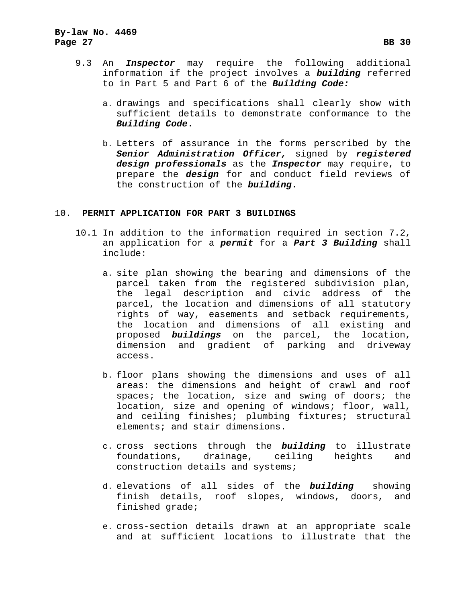- 9.3 An *Inspector* may require the following additional information if the project involves a *building* referred to in Part 5 and Part 6 of the *Building Code:*
	- a. drawings and specifications shall clearly show with sufficient details to demonstrate conformance to the *Building Code*.
	- b. Letters of assurance in the forms perscribed by the *Senior Administration Officer,* signed by *registered design professionals* as the *Inspector* may require, to prepare the *design* for and conduct field reviews of the construction of the *building*.

# 10. **PERMIT APPLICATION FOR PART 3 BUILDINGS**

- 10.1 In addition to the information required in section [7.2,](#page-24-0) an application for a *permit* for a *Part 3 Building* shall include:
	- a. site plan showing the bearing and dimensions of the parcel taken from the registered subdivision plan, the legal description and civic address of the parcel, the location and dimensions of all statutory rights of way, easements and setback requirements, the location and dimensions of all existing and proposed *buildings* on the parcel, the location, dimension and gradient of parking and driveway access.
	- b. floor plans showing the dimensions and uses of all areas: the dimensions and height of crawl and roof spaces; the location, size and swing of doors; the location, size and opening of windows; floor, wall, and ceiling finishes; plumbing fixtures; structural elements; and stair dimensions.
	- c. cross sections through the *building* to illustrate foundations, drainage, ceiling heights and construction details and systems;
	- d. elevations of all sides of the *building* showing finish details, roof slopes, windows, doors, and finished grade;
	- e. cross-section details drawn at an appropriate scale and at sufficient locations to illustrate that the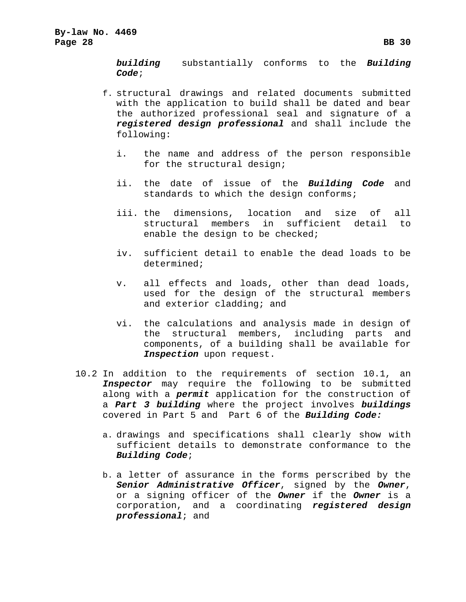*building* substantially conforms to the *Building Code*;

- f. structural drawings and related documents submitted with the application to build shall be dated and bear the authorized professional seal and signature of a *registered design professional* and shall include the following:
	- i. the name and address of the person responsible for the structural design;
	- ii. the date of issue of the *Building Code* and standards to which the design conforms;
	- iii. the dimensions, location and size of all structural members in sufficient detail to enable the design to be checked;
	- iv. sufficient detail to enable the dead loads to be determined;
	- v. all effects and loads, other than dead loads, used for the design of the structural members and exterior cladding; and
	- vi. the calculations and analysis made in design of the structural members, including parts and components, of a building shall be available for *Inspection* upon request.
- 10.2 In addition to the requirements of section 10.1, an *Inspector* may require the following to be submitted along with a *permit* application for the construction of a *Part 3 building* where the project involves *buildings* covered in Part 5 and Part 6 of the *Building Code:*
	- a. drawings and specifications shall clearly show with sufficient details to demonstrate conformance to the *Building Code*;
	- b. a letter of assurance in the forms perscribed by the *Senior Administrative Officer*, signed by the *Owner*, or a signing officer of the *Owner* if the *Owner* is a corporation, and a coordinating *registered design professional*; and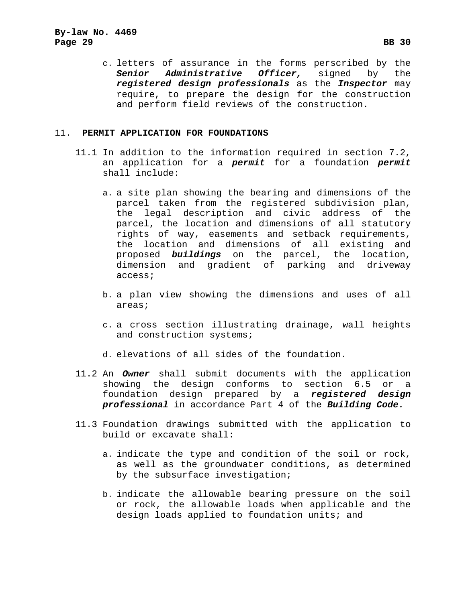c. letters of assurance in the forms perscribed by the *Senior Administrative Officer,* signed by the *registered design professionals* as the *Inspector* may require, to prepare the design for the construction and perform field reviews of the construction.

#### 11. **PERMIT APPLICATION FOR FOUNDATIONS**

- 11.1 In addition to the information required in section [7.2,](#page-24-0) an application for a *permit* for a foundation *permit* shall include:
	- a. a site plan showing the bearing and dimensions of the parcel taken from the registered subdivision plan, the legal description and civic address of the parcel, the location and dimensions of all statutory rights of way, easements and setback requirements, the location and dimensions of all existing and proposed *buildings* on the parcel, the location, dimension and gradient of parking and driveway access;
	- b. a plan view showing the dimensions and uses of all areas;
	- c. a cross section illustrating drainage, wall heights and construction systems;
	- d. elevations of all sides of the foundation.
- 11.2 An *Owner* shall submit documents with the application showing the design conforms to section 6.5 or a foundation design prepared by a *registered design professional* in accordance Part 4 of the *Building Code.*
- 11.3 Foundation drawings submitted with the application to build or excavate shall:
	- a. indicate the type and condition of the soil or rock, as well as the groundwater conditions, as determined by the subsurface investigation;
	- b. indicate the allowable bearing pressure on the soil or rock, the allowable loads when applicable and the design loads applied to foundation units; and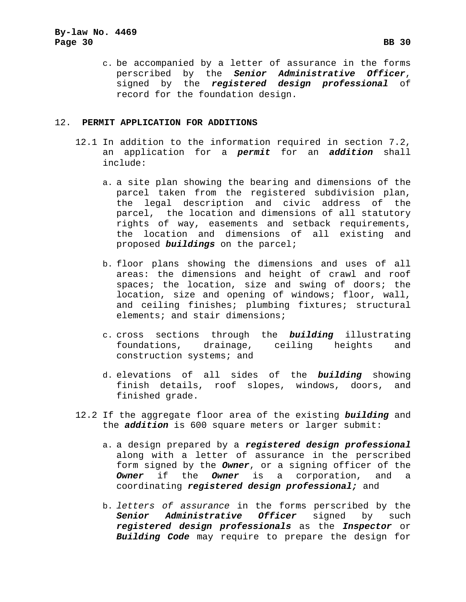c. be accompanied by a letter of assurance in the forms perscribed by the *Senior Administrative Officer*, signed by the *registered design professional* of record for the foundation design.

#### 12. **PERMIT APPLICATION FOR ADDITIONS**

- 12.1 In addition to the information required in section [7.2,](#page-24-0) an application for a *permit* for an *addition* shall include:
	- a. a site plan showing the bearing and dimensions of the parcel taken from the registered subdivision plan, the legal description and civic address of the parcel, the location and dimensions of all statutory rights of way, easements and setback requirements, the location and dimensions of all existing and proposed *buildings* on the parcel;
	- b. floor plans showing the dimensions and uses of all areas: the dimensions and height of crawl and roof spaces; the location, size and swing of doors; the location, size and opening of windows; floor, wall, and ceiling finishes; plumbing fixtures; structural elements; and stair dimensions;
	- c. cross sections through the *building* illustrating foundations, drainage, ceiling heights and construction systems; and
	- d. elevations of all sides of the *building* showing finish details, roof slopes, windows, doors, and finished grade.
- 12.2 If the aggregate floor area of the existing *building* and the *addition* is 600 square meters or larger submit:
	- a. a design prepared by a *registered design professional*  along with a letter of assurance in the perscribed form signed by the *Owner*, or a signing officer of the *Owner* if the *Owner* is a corporation, and a coordinating *registered design professional;* and
	- b. *letters of assurance* in the forms perscribed by the *Senior Administrative Officer* signed by such *registered design professionals* as the *Inspector* or *Building Code* may require to prepare the design for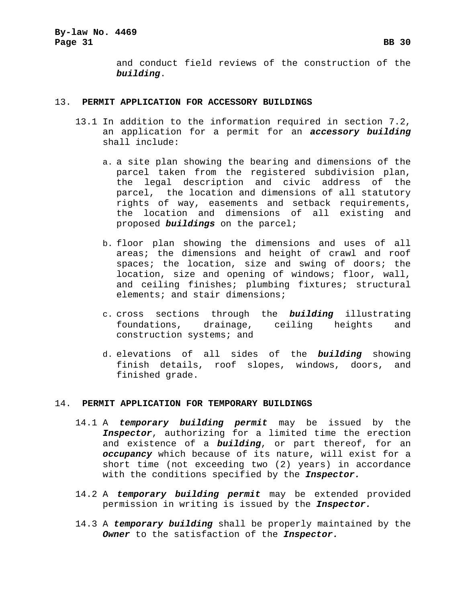and conduct field reviews of the construction of the *building*.

#### 13. **PERMIT APPLICATION FOR ACCESSORY BUILDINGS**

- 13.1 In addition to the information required in section [7.2,](#page-24-0) an application for a permit for an *accessory building* shall include:
	- a. a site plan showing the bearing and dimensions of the parcel taken from the registered subdivision plan, the legal description and civic address of the parcel, the location and dimensions of all statutory rights of way, easements and setback requirements, the location and dimensions of all existing and proposed *buildings* on the parcel;
	- b. floor plan showing the dimensions and uses of all areas; the dimensions and height of crawl and roof spaces; the location, size and swing of doors; the location, size and opening of windows; floor, wall, and ceiling finishes; plumbing fixtures; structural elements; and stair dimensions;
	- c. cross sections through the *building* illustrating foundations, drainage, ceiling heights and construction systems; and
	- d. elevations of all sides of the *building* showing finish details, roof slopes, windows, doors, and finished grade.

#### 14. **PERMIT APPLICATION FOR TEMPORARY BUILDINGS**

- 14.1 A *temporary building permit* may be issued by the *Inspector*, authorizing for a limited time the erection and existence of a *building*, or part thereof, for an *occupancy* which because of its nature, will exist for a short time (not exceeding two (2) years) in accordance with the conditions specified by the *Inspector.*
- 14.2 A *temporary building permit* may be extended provided permission in writing is issued by the *Inspector.*
- 14.3 A *temporary building* shall be properly maintained by the *Owner* to the satisfaction of the *Inspector.*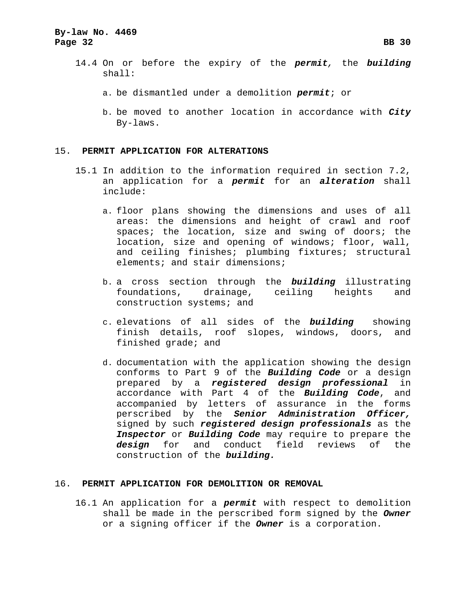- 14.4 On or before the expiry of the *permit,* the *building* shall:
	- a. be dismantled under a demolition *permit*; or
	- b. be moved to another location in accordance with *City* By-laws.

### 15. **PERMIT APPLICATION FOR ALTERATIONS**

- 15.1 In addition to the information required in section [7.2,](#page-24-0) an application for a *permit* for an *alteration* shall include:
	- a. floor plans showing the dimensions and uses of all areas: the dimensions and height of crawl and roof spaces; the location, size and swing of doors; the location, size and opening of windows; floor, wall, and ceiling finishes; plumbing fixtures; structural elements; and stair dimensions;
	- b. a cross section through the *building* illustrating foundations, drainage, ceiling heights and construction systems; and
	- c. elevations of all sides of the *building* showing finish details, roof slopes, windows, doors, and finished grade; and
	- d. documentation with the application showing the design conforms to Part 9 of the *Building Code* or a design prepared by a *registered design professional* in accordance with Part 4 of the *Building Code*, and accompanied by letters of assurance in the forms perscribed by the *Senior Administration Officer,* signed by such *registered design professionals* as the **Inspector** or *Building Code* may require to prepare the design for and conduct field reviews of the and conduct field reviews of the construction of the *building.*

#### 16. **PERMIT APPLICATION FOR DEMOLITION OR REMOVAL**

16.1 An application for a *permit* with respect to demolition shall be made in the perscribed form signed by the *Owner*  or a signing officer if the *Owner* is a corporation.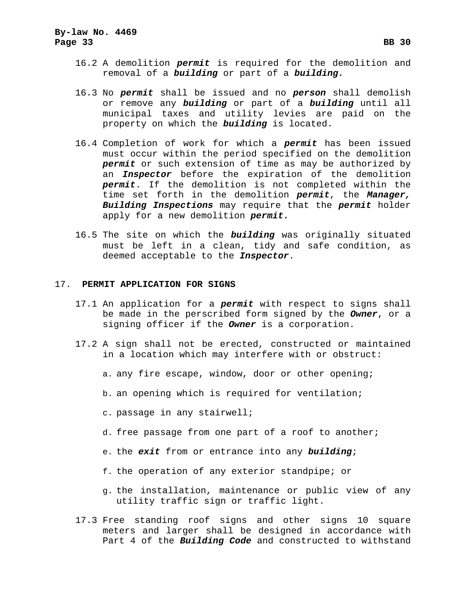- 16.2 A demolition *permit* is required for the demolition and removal of a *building* or part of a *building.*
- 16.3 No *permit* shall be issued and no *person* shall demolish or remove any *building* or part of a *building* until all municipal taxes and utility levies are paid on the property on which the *building* is located.
- 16.4 Completion of work for which a *permit* has been issued must occur within the period specified on the demolition *permit* or such extension of time as may be authorized by an *Inspector* before the expiration of the demolition *permit*. If the demolition is not completed within the time set forth in the demolition *permit*, the *Manager, Building Inspections* may require that the *permit* holder apply for a new demolition *permit.*
- 16.5 The site on which the *building* was originally situated must be left in a clean, tidy and safe condition, as deemed acceptable to the *Inspector*.

### 17. **PERMIT APPLICATION FOR SIGNS**

- 17.1 An application for a *permit* with respect to signs shall be made in the perscribed form signed by the *Owner*, or a signing officer if the *Owner* is a corporation.
- 17.2 A sign shall not be erected, constructed or maintained in a location which may interfere with or obstruct:
	- a. any fire escape, window, door or other opening;
	- b. an opening which is required for ventilation;
	- c. passage in any stairwell;
	- d. free passage from one part of a roof to another;
	- e. the *exit* from or entrance into any *building*;
	- f. the operation of any exterior standpipe; or
	- g. the installation, maintenance or public view of any utility traffic sign or traffic light.
- 17.3 Free standing roof signs and other signs 10 square meters and larger shall be designed in accordance with Part 4 of the *Building Code* and constructed to withstand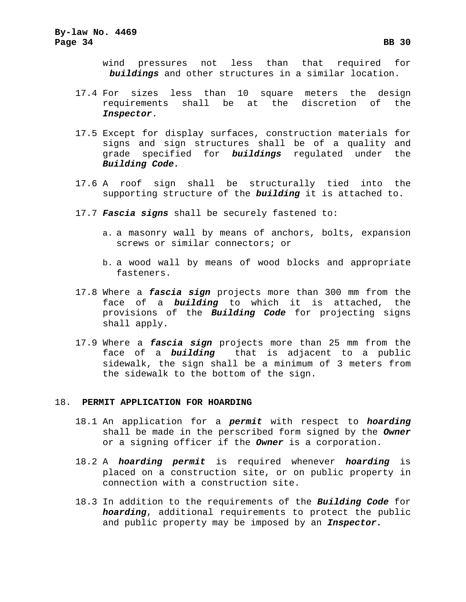wind pressures not less than that required for *buildings* and other structures in a similar location.

- 17.4 For sizes less than 10 square meters the design requirements shall be at the discretion of the *Inspector*.
- 17.5 Except for display surfaces, construction materials for signs and sign structures shall be of a quality and<br>grade specified for **buildings** regulated under the grade specified for *buildings* regulated under *Building Code.*
- 17.6 A roof sign shall be structurally tied into the supporting structure of the *building* it is attached to.
- 17.7 *Fascia signs* shall be securely fastened to:
	- a. a masonry wall by means of anchors, bolts, expansion screws or similar connectors; or
	- b. a wood wall by means of wood blocks and appropriate fasteners.
- 17.8 Where a *fascia sign* projects more than 300 mm from the face of a *building* to which it is attached, the provisions of the *Building Code* for projecting signs shall apply.
- 17.9 Where a *fascia sign* projects more than 25 mm from the face of a *building* that is adjacent to a public sidewalk, the sign shall be a minimum of 3 meters from the sidewalk to the bottom of the sign.

#### 18. **PERMIT APPLICATION FOR HOARDING**

- 18.1 An application for a *permit* with respect to *hoarding*  shall be made in the perscribed form signed by the *Owner* or a signing officer if the *Owner* is a corporation.
- 18.2 A *hoarding permit* is required whenever *hoarding* is placed on a construction site, or on public property in connection with a construction site.
- 18.3 In addition to the requirements of the *Building Code* for *hoarding*, additional requirements to protect the public and public property may be imposed by an *Inspector.*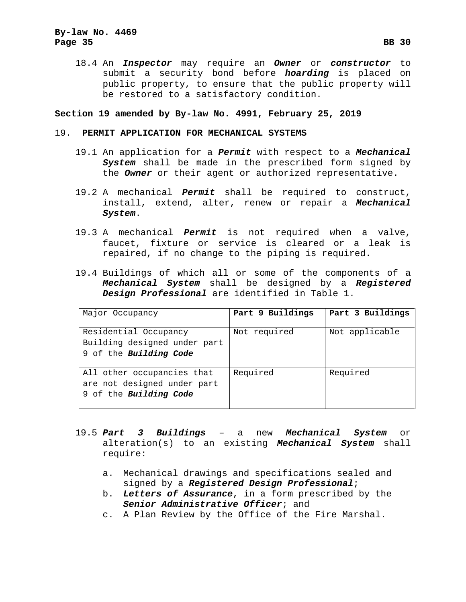# **By-law No. 4469 Page 35 BB 30**

18.4 An *Inspector* may require an *Owner* or *constructor* to submit a security bond before *hoarding* is placed on public property, to ensure that the public property will be restored to a satisfactory condition.

### **Section 19 amended by By-law No. 4991, February 25, 2019**

#### 19. **PERMIT APPLICATION FOR MECHANICAL SYSTEMS**

- 19.1 An application for a *Permit* with respect to a *Mechanical System* shall be made in the prescribed form signed by the *Owner* or their agent or authorized representative.
- 19.2 A mechanical *Permit* shall be required to construct, install, extend, alter, renew or repair a *Mechanical System*.
- 19.3 A mechanical *Permit* is not required when a valve, faucet, fixture or service is cleared or a leak is repaired, if no change to the piping is required.
- 19.4 Buildings of which all or some of the components of a *Mechanical System* shall be designed by a *Registered Design Professional* are identified in Table 1.

| Major Occupancy                                                                     | Part 9 Buildings | Part 3 Buildings |
|-------------------------------------------------------------------------------------|------------------|------------------|
| Residential Occupancy<br>Building designed under part<br>9 of the Building Code     | Not required     | Not applicable   |
| All other occupancies that<br>are not designed under part<br>9 of the Building Code | Required         | Required         |

- 19.5 *Part 3 Buildings* a new *Mechanical System* or alteration(s) to an existing *Mechanical System* shall require:
	- a. Mechanical drawings and specifications sealed and signed by a *Registered Design Professional*;
	- b. *Letters of Assurance*, in a form prescribed by the *Senior Administrative Officer*; and
	- c. A Plan Review by the Office of the Fire Marshal.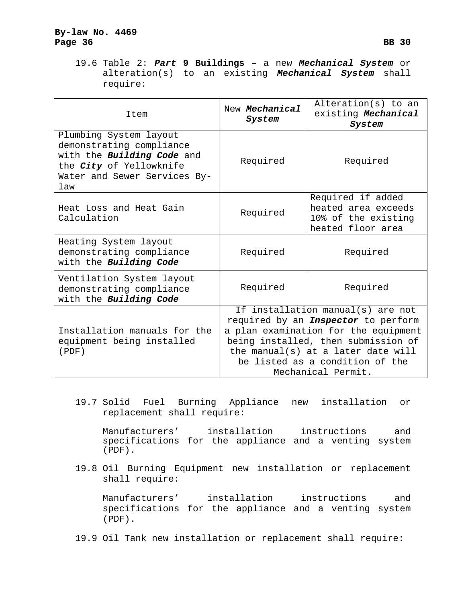# **By-law No. 4469 Page 36 BB 30**

19.6 Table 2: *Part* **9 Buildings** – a new *Mechanical System* or alteration(s) to an existing *Mechanical System* shall require:

| Item                                                                                                                                                      | New Mechanical<br>System                                                                                                                                                                                                                                      | Alteration(s) to an<br>existing Mechanical<br>System                                 |  |
|-----------------------------------------------------------------------------------------------------------------------------------------------------------|---------------------------------------------------------------------------------------------------------------------------------------------------------------------------------------------------------------------------------------------------------------|--------------------------------------------------------------------------------------|--|
| Plumbing System layout<br>demonstrating compliance<br>with the Building Code and<br>the <i>City</i> of Yellowknife<br>Water and Sewer Services By-<br>law | Required                                                                                                                                                                                                                                                      | Required                                                                             |  |
| Heat Loss and Heat Gain<br>Calculation                                                                                                                    | Required                                                                                                                                                                                                                                                      | Required if added<br>heated area exceeds<br>10% of the existing<br>heated floor area |  |
| Heating System layout<br>demonstrating compliance<br>with the Building Code                                                                               | Required                                                                                                                                                                                                                                                      | Required                                                                             |  |
| Ventilation System layout<br>demonstrating compliance<br>with the Building Code                                                                           | Required                                                                                                                                                                                                                                                      | Required                                                                             |  |
| Installation manuals for the<br>equipment being installed<br>(PDF)                                                                                        | If installation manual(s) are not<br>required by an <i>Inspector</i> to perform<br>a plan examination for the equipment<br>being installed, then submission of<br>the manual(s) at a later date will<br>be listed as a condition of the<br>Mechanical Permit. |                                                                                      |  |

19.7 Solid Fuel Burning Appliance new installation or replacement shall require:

Manufacturers' installation instructions and specifications for the appliance and a venting system (PDF).

19.8 Oil Burning Equipment new installation or replacement shall require:

Manufacturers' installation instructions and specifications for the appliance and a venting system (PDF).

19.9 Oil Tank new installation or replacement shall require: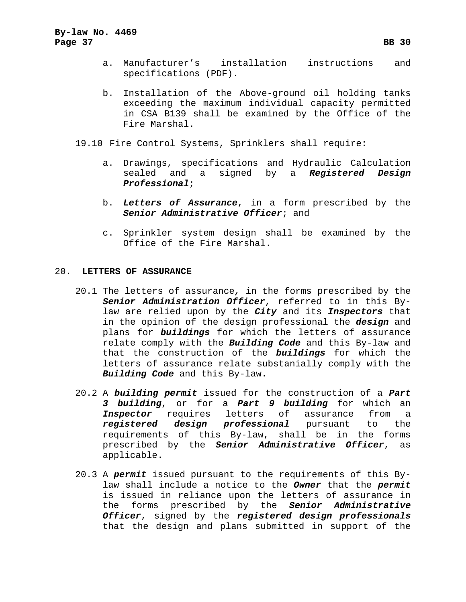- a. Manufacturer's installation instructions and specifications (PDF).
- b. Installation of the Above-ground oil holding tanks exceeding the maximum individual capacity permitted in CSA B139 shall be examined by the Office of the Fire Marshal.
- 19.10 Fire Control Systems, Sprinklers shall require:
	- a. Drawings, specifications and Hydraulic Calculation sealed and a signed by a *Registered Design Professional*;
	- b. *Letters of Assurance*, in a form prescribed by the *Senior Administrative Officer*; and
	- c. Sprinkler system design shall be examined by the Office of the Fire Marshal.

### 20. **LETTERS OF ASSURANCE**

- 20.1 The letters of assurance*,* in the forms prescribed by the *Senior Administration Officer*, referred to in this Bylaw are relied upon by the *City* and its *Inspectors* that in the opinion of the design professional the *design* and plans for *buildings* for which the letters of assurance relate comply with the *Building Code* and this By-law and that the construction of the *buildings* for which the letters of assurance relate substanially comply with the *Building Code* and this By-law.
- 20.2 A *building permit* issued for the construction of a *Part 3 building*, or for a *Part 9 building* for which an *Inspector* requires letters of assurance from a *registered design professional* pursuant to the requirements of this By-law, shall be in the forms prescribed by the *Senior Administrative Officer*, as applicable.
- 20.3 A *permit* issued pursuant to the requirements of this Bylaw shall include a notice to the *Owner* that the *permit* is issued in reliance upon the letters of assurance in the forms prescribed by the *Senior Administrative Officer*, signed by the *registered design professionals*  that the design and plans submitted in support of the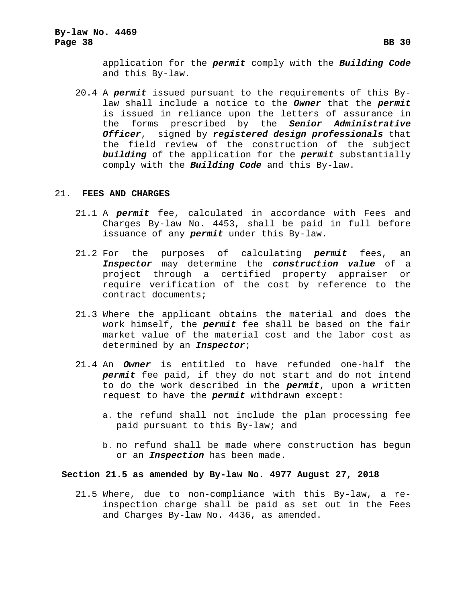application for the *permit* comply with the *Building Code*  and this By-law.

20.4 A *permit* issued pursuant to the requirements of this Bylaw shall include a notice to the *Owner* that the *permit* is issued in reliance upon the letters of assurance in the forms prescribed by the *Senior Administrative Officer*, signed by *registered design professionals* that the field review of the construction of the subject *building* of the application for the *permit* substantially comply with the *Building Code* and this By-law.

#### 21. **FEES AND CHARGES**

- 21.1 A *permit* fee, calculated in accordance with Fees and Charges By-law No. 4453, shall be paid in full before issuance of any *permit* under this By-law.
- 21.2 For the purposes of calculating *permit* fees, an *Inspector* may determine the *construction value* of a project through a certified property appraiser or require verification of the cost by reference to the contract documents;
- 21.3 Where the applicant obtains the material and does the work himself, the *permit* fee shall be based on the fair market value of the material cost and the labor cost as determined by an *Inspector*;
- 21.4 An *Owner* is entitled to have refunded one-half the *permit* fee paid, if they do not start and do not intend to do the work described in the *permit*, upon a written request to have the *permit* withdrawn except:
	- a. the refund shall not include the plan processing fee paid pursuant to this By-law; and
	- b. no refund shall be made where construction has begun or an *Inspection* has been made.

#### **Section 21.5 as amended by By-law No. 4977 August 27, 2018**

21.5 Where, due to non-compliance with this By-law, a reinspection charge shall be paid as set out in the Fees and Charges By-law No. 4436, as amended.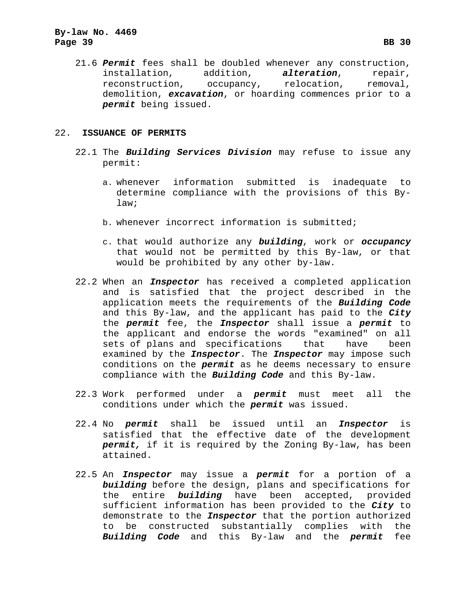# **By-law No. 4469 Page 39 BB 30**

21.6 *Permit* fees shall be doubled whenever any construction, installation, addition, **alteration**, repair,<br>reconstruction, occupancy, relocation, removal, reconstruction, occupancy, relocation, removal, demolition, *excavation*, or hoarding commences prior to a *permit* being issued.

# 22. **ISSUANCE OF PERMITS**

- 22.1 The *Building Services Division* may refuse to issue any permit:
	- a. whenever information submitted is inadequate to determine compliance with the provisions of this Bylaw;
	- b. whenever incorrect information is submitted;
	- c. that would authorize any *building*, work or *occupancy* that would not be permitted by this By-law, or that would be prohibited by any other by-law.
- 22.2 When an *Inspector* has received a completed application and is satisfied that the project described in the application meets the requirements of the *Building Code* and this By-law, and the applicant has paid to the *City* the *permit* fee, the *Inspector* shall issue a *permit* to the applicant and endorse the words "examined" on all sets of plans and specifications that have been examined by the *Inspector*. The *Inspector* may impose such conditions on the *permit* as he deems necessary to ensure compliance with the *Building Code* and this By-law.
- 22.3 Work performed under a *permit* must meet all the conditions under which the *permit* was issued.
- 22.4 No *permit* shall be issued until an *Inspector* is satisfied that the effective date of the development *permit,* if it is required by the Zoning By-law, has been attained.
- 22.5 An *Inspector* may issue a *permit* for a portion of a *building* before the design, plans and specifications for the entire *building* have been accepted, provided sufficient information has been provided to the *City* to demonstrate to the *Inspector* that the portion authorized to be constructed substantially complies with the *Building Code* and this By-law and the *permit* fee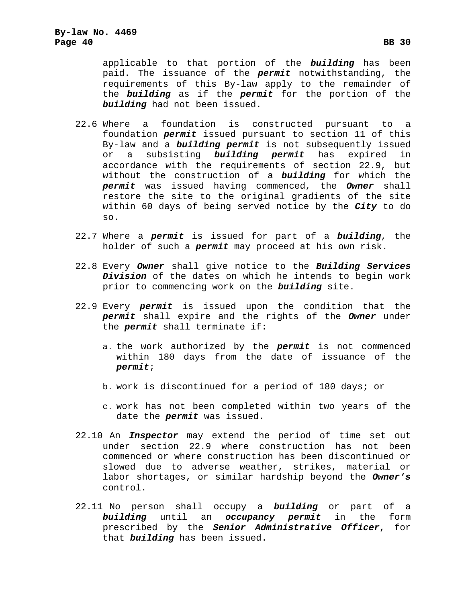applicable to that portion of the *building* has been paid. The issuance of the *permit* notwithstanding, the requirements of this By-law apply to the remainder of the *building* as if the *permit* for the portion of the *building* had not been issued.

- 22.6 Where a foundation is constructed pursuant to a foundation *permit* issued pursuant to section 11 of this By-law and a *building permit* is not subsequently issued or a subsisting *building permit* has expired in accordance with the requirements of section 22.9, but without the construction of a *building* for which the *permit* was issued having commenced, the *Owner* shall restore the site to the original gradients of the site within 60 days of being served notice by the *City* to do so.
- 22.7 Where a *permit* is issued for part of a *building*, the holder of such a *permit* may proceed at his own risk.
- 22.8 Every *Owner* shall give notice to the *Building Services Division* of the dates on which he intends to begin work prior to commencing work on the *building* site.
- 22.9 Every *permit* is issued upon the condition that the *permit* shall expire and the rights of the *Owner* under the *permit* shall terminate if:
	- a. the work authorized by the *permit* is not commenced within 180 days from the date of issuance of the *permit*;
	- b. work is discontinued for a period of 180 days; or
	- c. work has not been completed within two years of the date the *permit* was issued.
- 22.10 An *Inspector* may extend the period of time set out under section 22.9 where construction has not been commenced or where construction has been discontinued or slowed due to adverse weather, strikes, material or labor shortages, or similar hardship beyond the *Owner's*  control.
- 22.11 No person shall occupy a *building* or part of a *building* until an *occupancy permit* in the form prescribed by the *Senior Administrative Officer*, for that *building* has been issued.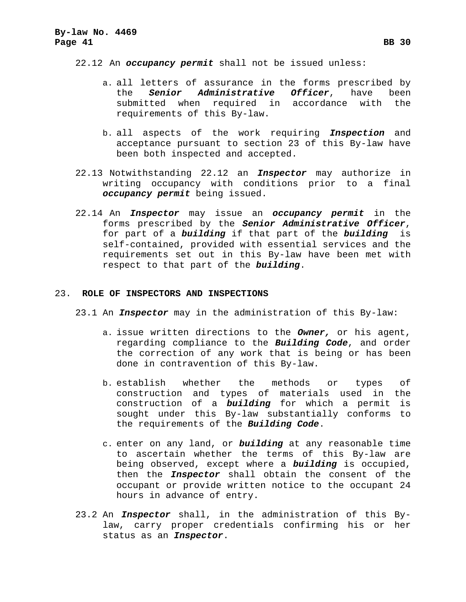- 22.12 An *occupancy permit* shall not be issued unless:
	- a. all letters of assurance in the forms prescribed by<br>the **Senior Administrative Officer**, have been the *Senior Administrative Officer*, submitted when required in accordance with the requirements of this By-law.
	- b. all aspects of the work requiring *Inspection* and acceptance pursuant to section 23 of this By-law have been both inspected and accepted.
- 22.13 Notwithstanding 22.12 an *Inspector* may authorize in writing occupancy with conditions prior to a final *occupancy permit* being issued.
- 22.14 An *Inspector* may issue an *occupancy permit* in the forms prescribed by the *Senior Administrative Officer*, for part of a *building* if that part of the *building* self-contained, provided with essential services and the requirements set out in this By-law have been met with respect to that part of the *building*.

### 23. **ROLE OF INSPECTORS AND INSPECTIONS**

- 23.1 An *Inspector* may in the administration of this By-law:
	- a. issue written directions to the *Owner,* or his agent, regarding compliance to the *Building Code*, and order the correction of any work that is being or has been done in contravention of this By-law.
	- b. establish whether the methods or types of construction and types of materials used in the construction of a *building* for which a permit is sought under this By-law substantially conforms to the requirements of the *Building Code*.
	- c. enter on any land, or *building* at any reasonable time to ascertain whether the terms of this By-law are being observed, except where a *building* is occupied, then the *Inspector* shall obtain the consent of the occupant or provide written notice to the occupant 24 hours in advance of entry.
- 23.2 An *Inspector* shall, in the administration of this Bylaw, carry proper credentials confirming his or her status as an *Inspector*.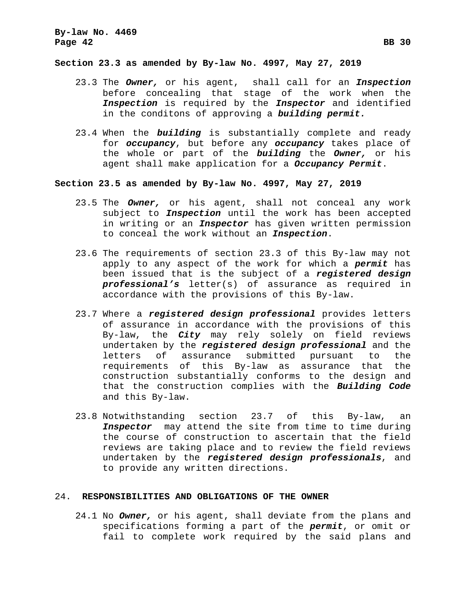#### **Section 23.3 as amended by By-law No. 4997, May 27, 2019**

- 23.3 The *Owner,* or his agent, shall call for an *Inspection* before concealing that stage of the work when the *Inspection* is required by the *Inspector* and identified in the conditons of approving a *building permit.*
- 23.4 When the *building* is substantially complete and ready for *occupancy*, but before any *occupancy* takes place of the whole or part of the *building* the *Owner,* or his agent shall make application for a *Occupancy Permit*.

### **Section 23.5 as amended by By-law No. 4997, May 27, 2019**

- 23.5 The *Owner,* or his agent, shall not conceal any work subject to *Inspection* until the work has been accepted in writing or an *Inspector* has given written permission to conceal the work without an *Inspection*.
- 23.6 The requirements of section 23.3 of this By-law may not apply to any aspect of the work for which a *permit* has been issued that is the subject of a *registered design professional's* letter(s) of assurance as required in accordance with the provisions of this By-law.
- 23.7 Where a *registered design professional* provides letters of assurance in accordance with the provisions of this By-law, the *City* may rely solely on field reviews undertaken by the *registered design professional* and the letters of assurance submitted pursuant to the<br>requirements of this By-law as assurance that the requirements of this By-law as assurance that construction substantially conforms to the design and that the construction complies with the *Building Code* and this By-law.
- 23.8 Notwithstanding section 23.7 of this By-law, an *Inspector* may attend the site from time to time during the course of construction to ascertain that the field reviews are taking place and to review the field reviews undertaken by the *registered design professionals*, and to provide any written directions.

#### 24. **RESPONSIBILITIES AND OBLIGATIONS OF THE OWNER**

24.1 No *Owner,* or his agent, shall deviate from the plans and specifications forming a part of the *permit*, or omit or fail to complete work required by the said plans and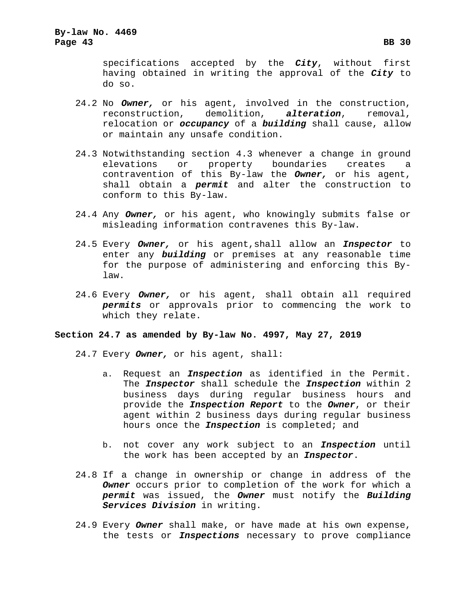specifications accepted by the *City*, without first having obtained in writing the approval of the *City* to do so.

- 24.2 No **Owner,** or his agent, involved in the construction,<br>reconstruction, demolition, **alteration**, removal, demolition, **alteration**, removal, relocation or *occupancy* of a *building* shall cause, allow or maintain any unsafe condition.
- 24.3 Notwithstanding section 4.3 whenever a change in ground<br>elevations or property boundaries creates a or property boundaries creates a contravention of this By-law the *Owner,* or his agent, shall obtain a *permit* and alter the construction to conform to this By-law.
- 24.4 Any *Owner,* or his agent, who knowingly submits false or misleading information contravenes this By-law.
- 24.5 Every *Owner,* or his agent,shall allow an *Inspector* to enter any *building* or premises at any reasonable time for the purpose of administering and enforcing this Bylaw.
- 24.6 Every *Owner,* or his agent, shall obtain all required *permits* or approvals prior to commencing the work to which they relate.

# **Section 24.7 as amended by By-law No. 4997, May 27, 2019**

24.7 Every *Owner,* or his agent, shall:

- a. Request an *Inspection* as identified in the Permit. The *Inspector* shall schedule the *Inspection* within 2 business days during regular business hours and provide the *Inspection Report* to the *Owner*, or their agent within 2 business days during regular business hours once the *Inspection* is completed; and
- b. not cover any work subject to an *Inspection* until the work has been accepted by an *Inspector*.
- 24.8 If a change in ownership or change in address of the *Owner* occurs prior to completion of the work for which a *permit* was issued, the *Owner* must notify the *Building Services Division* in writing.
- 24.9 Every *Owner* shall make, or have made at his own expense, the tests or *Inspections* necessary to prove compliance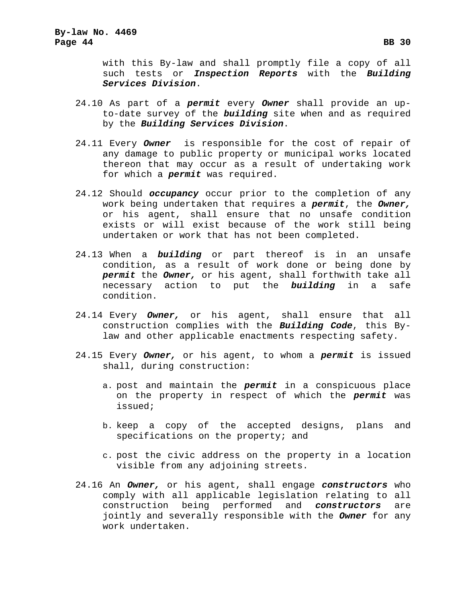with this By-law and shall promptly file a copy of all such tests or *Inspection Reports* with the *Building Services Division*.

- 24.10 As part of a *permit* every *Owner* shall provide an upto-date survey of the *building* site when and as required by the *Building Services Division*.
- 24.11 Every *Owner* is responsible for the cost of repair of any damage to public property or municipal works located thereon that may occur as a result of undertaking work for which a *permit* was required.
- 24.12 Should *occupancy* occur prior to the completion of any work being undertaken that requires a *permit*, the *Owner,*  or his agent, shall ensure that no unsafe condition exists or will exist because of the work still being undertaken or work that has not been completed.
- 24.13 When a *building* or part thereof is in an unsafe condition, as a result of work done or being done by *permit* the *Owner,* or his agent, shall forthwith take all necessary action to put the *building* in a safe condition.
- 24.14 Every *Owner,* or his agent, shall ensure that all construction complies with the *Building Code*, this Bylaw and other applicable enactments respecting safety.
- 24.15 Every *Owner,* or his agent, to whom a *permit* is issued shall, during construction:
	- a. post and maintain the *permit* in a conspicuous place on the property in respect of which the *permit* was issued;
	- b. keep a copy of the accepted designs, plans and specifications on the property; and
	- c. post the civic address on the property in a location visible from any adjoining streets.
- 24.16 An *Owner,* or his agent, shall engage *constructors* who comply with all applicable legislation relating to all construction being performed and *constructors* are jointly and severally responsible with the *Owner* for any work undertaken.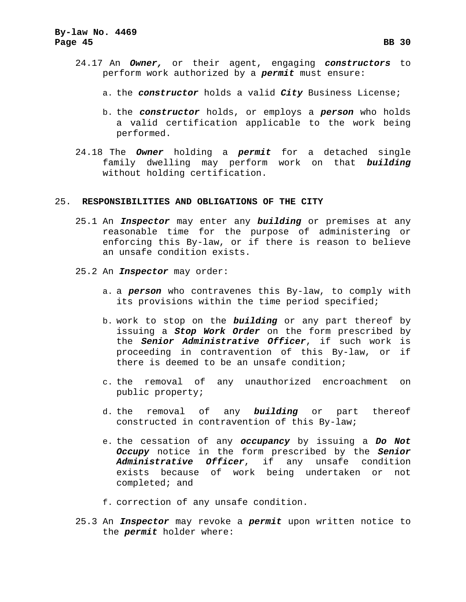- a. the *constructor* holds a valid *City* Business License;
- b. the *constructor* holds, or employs a *person* who holds a valid certification applicable to the work being performed.
- 24.18 The *Owner* holding a *permit* for a detached single family dwelling may perform work on that *building*  without holding certification.

#### 25. **RESPONSIBILITIES AND OBLIGATIONS OF THE CITY**

- 25.1 An *Inspector* may enter any *building* or premises at any reasonable time for the purpose of administering or enforcing this By-law, or if there is reason to believe an unsafe condition exists.
- 25.2 An *Inspector* may order:
	- a. a *person* who contravenes this By-law, to comply with its provisions within the time period specified;
	- b. work to stop on the *building* or any part thereof by issuing a *Stop Work Order* on the form prescribed by the *Senior Administrative Officer*, if such work is proceeding in contravention of this By-law, or if there is deemed to be an unsafe condition;
	- c. the removal of any unauthorized encroachment on public property;
	- d. the removal of any *building* or part thereof constructed in contravention of this By-law;
	- e. the cessation of any *occupancy* by issuing a *Do Not Occupy* notice in the form prescribed by the *Senior Administrative Officer*, if any unsafe condition exists because of work being undertaken or not completed; and
	- f. correction of any unsafe condition.
- 25.3 An *Inspector* may revoke a *permit* upon written notice to the *permit* holder where: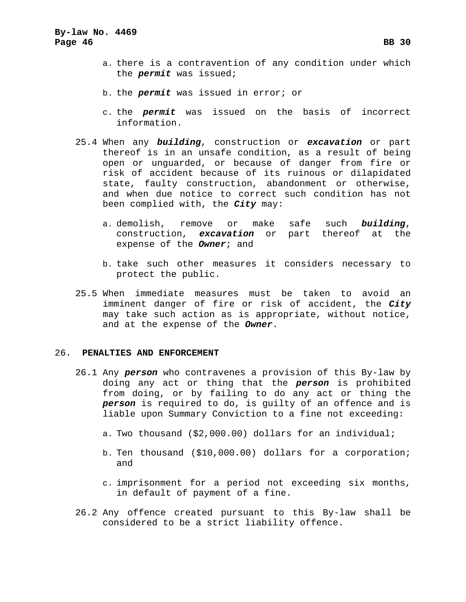- a. there is a contravention of any condition under which the *permit* was issued;
- b. the *permit* was issued in error; or
- c. the *permit* was issued on the basis of incorrect information.
- 25.4 When any *building*, construction or *excavation* or part thereof is in an unsafe condition, as a result of being open or unguarded, or because of danger from fire or risk of accident because of its ruinous or dilapidated state, faulty construction, abandonment or otherwise, and when due notice to correct such condition has not been complied with, the *City* may:
	- a. demolish, remove or make safe such *building*, construction, *excavation* or part thereof at the expense of the *Owner*; and
	- b. take such other measures it considers necessary to protect the public.
- 25.5 When immediate measures must be taken to avoid an imminent danger of fire or risk of accident, the *City* may take such action as is appropriate, without notice, and at the expense of the *Owner*.

#### 26. **PENALTIES AND ENFORCEMENT**

- 26.1 Any *person* who contravenes a provision of this By-law by doing any act or thing that the *person* is prohibited from doing, or by failing to do any act or thing the *person* is required to do, is guilty of an offence and is liable upon Summary Conviction to a fine not exceeding:
	- a. Two thousand (\$2,000.00) dollars for an individual;
	- b. Ten thousand (\$10,000.00) dollars for a corporation; and
	- c. imprisonment for a period not exceeding six months, in default of payment of a fine.
- 26.2 Any offence created pursuant to this By-law shall be considered to be a strict liability offence.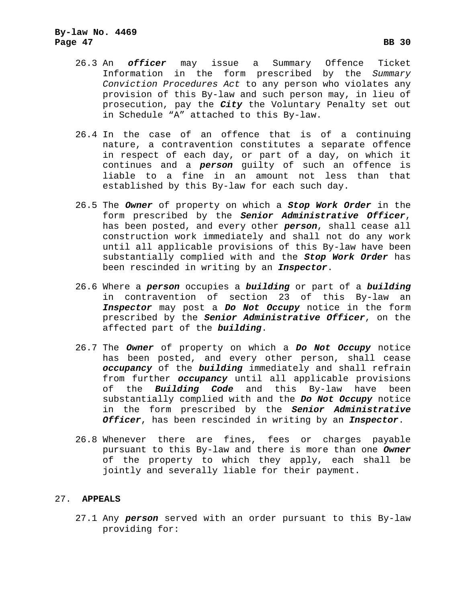- 26.3 An *officer* may issue a Summary Offence Ticket Information in the form prescribed by the *Summary Conviction Procedures Act* to any person who violates any provision of this By-law and such person may, in lieu of prosecution, pay the *City* the Voluntary Penalty set out in Schedule "A" attached to this By-law.
- 26.4 In the case of an offence that is of a continuing nature, a contravention constitutes a separate offence in respect of each day, or part of a day, on which it continues and a *person* guilty of such an offence is liable to a fine in an amount not less than that established by this By-law for each such day.
- 26.5 The *Owner* of property on which a *Stop Work Order* in the form prescribed by the *Senior Administrative Officer*, has been posted, and every other *person*, shall cease all construction work immediately and shall not do any work until all applicable provisions of this By-law have been substantially complied with and the *Stop Work Order* has been rescinded in writing by an *Inspector*.
- 26.6 Where a *person* occupies a *building* or part of a *building*  in contravention of section 23 of this By-law an *Inspector* may post a *Do Not Occupy* notice in the form prescribed by the *Senior Administrative Officer*, on the affected part of the *building*.
- 26.7 The *Owner* of property on which a *Do Not Occupy* notice has been posted, and every other person, shall cease *occupancy* of the *building* immediately and shall refrain from further *occupancy* until all applicable provisions the **Building Code** and this By-law have been substantially complied with and the *Do Not Occupy* notice in the form prescribed by the *Senior Administrative Officer*, has been rescinded in writing by an *Inspector*.
- 26.8 Whenever there are fines, fees or charges payable pursuant to this By-law and there is more than one *Owner* of the property to which they apply, each shall be jointly and severally liable for their payment.

### 27. **APPEALS**

27.1 Any *person* served with an order pursuant to this By-law providing for: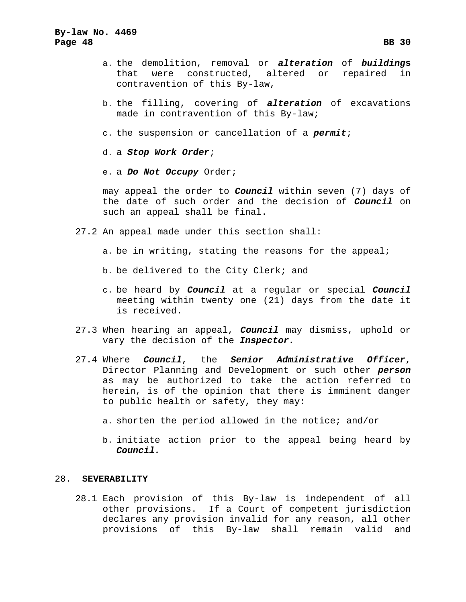- a. the demolition, removal or *alteration* of *building***s** that were constructed, altered or repaired in contravention of this By-law,
- b. the filling, covering of *alteration* of excavations made in contravention of this By-law;
- c. the suspension or cancellation of a *permit*;
- d. a *Stop Work Order*;
- e. a *Do Not Occupy* Order;

may appeal the order to *Council* within seven (7) days of the date of such order and the decision of *Council* on such an appeal shall be final.

- 27.2 An appeal made under this section shall:
	- a. be in writing, stating the reasons for the appeal;
	- b. be delivered to the City Clerk; and
	- c. be heard by *Council* at a regular or special *Council* meeting within twenty one (21) days from the date it is received.
- 27.3 When hearing an appeal, *Council* may dismiss, uphold or vary the decision of the *Inspector.*
- 27.4 Where *Council*, the *Senior Administrative Officer*, Director Planning and Development or such other *person* as may be authorized to take the action referred to herein, is of the opinion that there is imminent danger to public health or safety, they may:
	- a. shorten the period allowed in the notice; and/or
	- b. initiate action prior to the appeal being heard by *Council.*

#### 28. **SEVERABILITY**

28.1 Each provision of this By-law is independent of all other provisions. If a Court of competent jurisdiction declares any provision invalid for any reason, all other provisions of this By-law shall remain valid and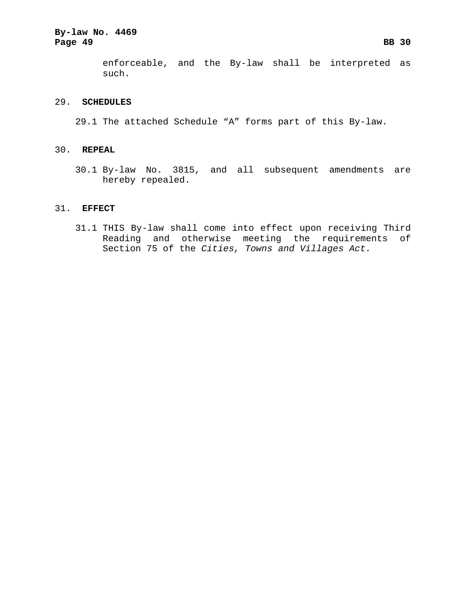# **By-law No. 4469 Page 49 BB 30**

enforceable, and the By-law shall be interpreted as such.

# 29. **SCHEDULES**

29.1 The attached Schedule "A" forms part of this By-law.

### 30. **REPEAL**

30.1 By-law No. 3815, and all subsequent amendments are hereby repealed.

### 31. **EFFECT**

31.1 THIS By-law shall come into effect upon receiving Third Reading and otherwise meeting the requirements of Section 75 of the *Cities, Towns and Villages Act.*